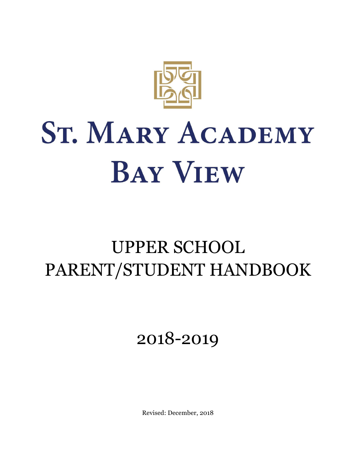

## UPPER SCHOOL PARENT/STUDENT HANDBOOK

2018-2019

Revised: December, 2018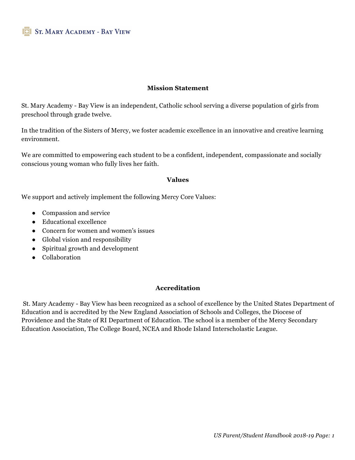#### **Mission Statement**

St. Mary Academy - Bay View is an independent, Catholic school serving a diverse population of girls from preschool through grade twelve.

In the tradition of the Sisters of Mercy, we foster academic excellence in an innovative and creative learning environment.

We are committed to empowering each student to be a confident, independent, compassionate and socially conscious young woman who fully lives her faith.

#### **Values**

We support and actively implement the following Mercy Core Values:

- Compassion and service
- Educational excellence
- Concern for women and women's issues
- Global vision and responsibility
- Spiritual growth and development
- Collaboration

#### **Accreditation**

St. Mary Academy - Bay View has been recognized as a school of excellence by the United States Department of Education and is accredited by the New England Association of Schools and Colleges, the Diocese of Providence and the State of RI Department of Education. The school is a member of the Mercy Secondary Education Association, The College Board, NCEA and Rhode Island Interscholastic League.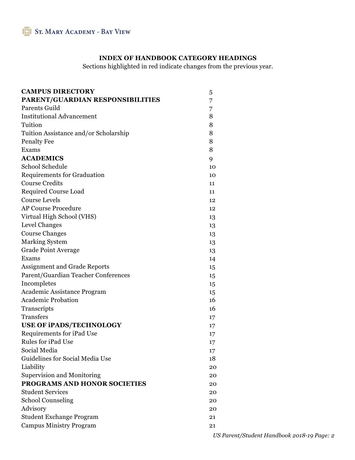#### **INDEX OF HANDBOOK CATEGORY HEADINGS**

Sections highlighted in red indicate changes from the previous year.

| <b>CAMPUS DIRECTORY</b>               | 5  |
|---------------------------------------|----|
| PARENT/GUARDIAN RESPONSIBILITIES      | 7  |
| Parents Guild                         | 7  |
| <b>Institutional Advancement</b>      | 8  |
| Tuition                               | 8  |
| Tuition Assistance and/or Scholarship | 8  |
| <b>Penalty Fee</b>                    | 8  |
| Exams                                 | 8  |
| <b>ACADEMICS</b>                      | 9  |
| <b>School Schedule</b>                | 10 |
| <b>Requirements for Graduation</b>    | 10 |
| <b>Course Credits</b>                 | 11 |
| <b>Required Course Load</b>           | 11 |
| <b>Course Levels</b>                  | 12 |
| <b>AP Course Procedure</b>            | 12 |
| Virtual High School (VHS)             | 13 |
| Level Changes                         | 13 |
| <b>Course Changes</b>                 | 13 |
| <b>Marking System</b>                 | 13 |
| <b>Grade Point Average</b>            | 13 |
| Exams                                 | 14 |
| <b>Assignment and Grade Reports</b>   | 15 |
| Parent/Guardian Teacher Conferences   | 15 |
| Incompletes                           | 15 |
| Academic Assistance Program           | 15 |
| <b>Academic Probation</b>             | 16 |
| Transcripts                           | 16 |
| Transfers                             | 17 |
| <b>USE OF IPADS/TECHNOLOGY</b>        | 17 |
| Requirements for iPad Use             | 17 |
| Rules for iPad Use                    | 17 |
| Social Media                          | 17 |
| Guidelines for Social Media Use       | 18 |
| Liability                             | 20 |
| <b>Supervision and Monitoring</b>     | 20 |
| PROGRAMS AND HONOR SOCIETIES          | 20 |
| <b>Student Services</b>               | 20 |
| <b>School Counseling</b>              | 20 |
| Advisory                              | 20 |
| <b>Student Exchange Program</b>       | 21 |
| <b>Campus Ministry Program</b>        | 21 |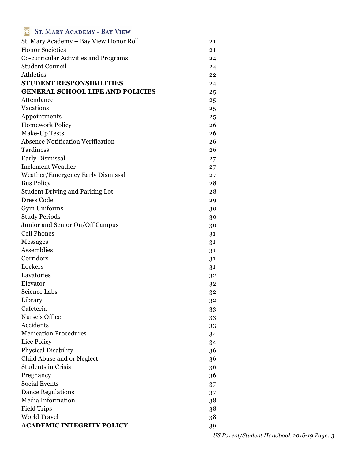| <b>SE ST. MARY ACADEMY - BAY VIEW</b>    |          |
|------------------------------------------|----------|
| St. Mary Academy - Bay View Honor Roll   | 21       |
| <b>Honor Societies</b>                   | 21       |
| Co-curricular Activities and Programs    | 24       |
| <b>Student Council</b>                   | 24       |
| <b>Athletics</b>                         | 22       |
| <b>STUDENT RESPONSIBILITIES</b>          | 24       |
| <b>GENERAL SCHOOL LIFE AND POLICIES</b>  | 25       |
| Attendance                               | 25       |
| Vacations                                | 25       |
| Appointments                             | 25       |
| <b>Homework Policy</b>                   | 26       |
| Make-Up Tests                            | 26       |
| <b>Absence Notification Verification</b> | 26       |
| Tardiness                                | 26       |
| <b>Early Dismissal</b>                   | 27       |
| <b>Inclement Weather</b>                 |          |
| <b>Weather/Emergency Early Dismissal</b> | 27       |
| <b>Bus Policy</b>                        | 27<br>28 |
| <b>Student Driving and Parking Lot</b>   | 28       |
| <b>Dress Code</b>                        |          |
|                                          | 29       |
| Gym Uniforms                             | 30       |
| <b>Study Periods</b>                     | 30       |
| Junior and Senior On/Off Campus          | 30       |
| <b>Cell Phones</b>                       | 31       |
| <b>Messages</b>                          | 31       |
| Assemblies                               | 31       |
| Corridors                                | 31       |
| Lockers                                  | 31       |
| Lavatories                               | 32       |
| Elevator                                 | 32       |
| Science Labs                             | 32       |
| Library                                  | 32       |
| Cafeteria                                | 33       |
| Nurse's Office                           | 33       |
| Accidents                                | 33       |
| <b>Medication Procedures</b>             | 34       |
| Lice Policy                              | 34       |
| <b>Physical Disability</b>               | 36       |
| Child Abuse and or Neglect               | 36       |
| <b>Students in Crisis</b>                | 36       |
| Pregnancy                                | 36       |
| <b>Social Events</b>                     | 37       |
| <b>Dance Regulations</b>                 | 37       |
| Media Information                        | 38       |
| <b>Field Trips</b>                       | 38       |
| <b>World Travel</b>                      | 38       |
| <b>ACADEMIC INTEGRITY POLICY</b>         | 39       |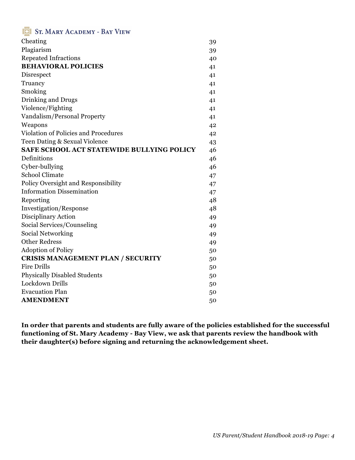| Cheating                                         | 39 |
|--------------------------------------------------|----|
| Plagiarism                                       | 39 |
| <b>Repeated Infractions</b>                      | 40 |
| <b>BEHAVIORAL POLICIES</b>                       | 41 |
| Disrespect                                       | 41 |
| Truancy                                          | 41 |
| Smoking                                          | 41 |
| Drinking and Drugs                               | 41 |
| Violence/Fighting                                | 41 |
| Vandalism/Personal Property                      | 41 |
| Weapons                                          | 42 |
| Violation of Policies and Procedures             | 42 |
| Teen Dating & Sexual Violence                    | 43 |
| <b>SAFE SCHOOL ACT STATEWIDE BULLYING POLICY</b> | 46 |
| Definitions                                      | 46 |
| Cyber-bullying                                   | 46 |
| <b>School Climate</b>                            | 47 |
| Policy Oversight and Responsibility              | 47 |
| <b>Information Dissemination</b>                 | 47 |
| Reporting                                        | 48 |
| Investigation/Response                           | 48 |
| Disciplinary Action                              | 49 |
| Social Services/Counseling                       | 49 |
| Social Networking                                | 49 |
| <b>Other Redress</b>                             | 49 |
| <b>Adoption of Policy</b>                        | 50 |
| <b>CRISIS MANAGEMENT PLAN / SECURITY</b>         | 50 |
| <b>Fire Drills</b>                               | 50 |
| <b>Physically Disabled Students</b>              | 50 |
| Lockdown Drills                                  | 50 |
| <b>Evacuation Plan</b>                           | 50 |
| <b>AMENDMENT</b>                                 | 50 |

**In order that parents and students are fully aware of the policies established for the successful functioning of St. Mary Academy - Bay View, we ask that parents review the handbook with their daughter(s) before signing and returning the acknowledgement sheet.**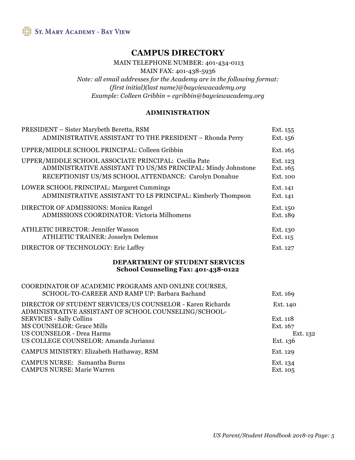#### **CAMPUS DIRECTORY**

MAIN TELEPHONE NUMBER: 401-434-0113

MAIN FAX: 401-438-5936

*Note: all email addresses for the Academy are in the following format: (first initial)(last name)@bayviewacademy.org Example: Colleen Gribbin = cgribbin@bayviewacademy.org* 

#### **ADMINISTRATION**

| PRESIDENT - Sister Marybeth Beretta, RSM                                                                                                                                                   | Ext. 155                         |
|--------------------------------------------------------------------------------------------------------------------------------------------------------------------------------------------|----------------------------------|
| ADMINISTRATIVE ASSISTANT TO THE PRESIDENT - Rhonda Perry                                                                                                                                   | Ext. 156                         |
| UPPER/MIDDLE SCHOOL PRINCIPAL: Colleen Gribbin                                                                                                                                             | Ext. 165                         |
| UPPER/MIDDLE SCHOOL ASSOCIATE PRINCIPAL: Cecilia Pate                                                                                                                                      | Ext. 123                         |
| ADMINISTRATIVE ASSISTANT TO US/MS PRINCIPAL: Mindy Johnstone                                                                                                                               | Ext. 165                         |
| RECEPTIONIST US/MS SCHOOL ATTENDANCE: Carolyn Donahue                                                                                                                                      | Ext. 100                         |
| LOWER SCHOOL PRINCIPAL: Margaret Cummings                                                                                                                                                  | Ext. 141                         |
| ADMINISTRATIVE ASSISTANT TO LS PRINCIPAL: Kimberly Thompson                                                                                                                                | Ext. 141                         |
| DIRECTOR OF ADMISSIONS: Monica Rangel                                                                                                                                                      | Ext. 150                         |
| <b>ADMISSIONS COORDINATOR: Victoria Milhomens</b>                                                                                                                                          | Ext. 189                         |
| <b>ATHLETIC DIRECTOR: Jennifer Wasson</b>                                                                                                                                                  | Ext. 130                         |
| <b>ATHLETIC TRAINER: Josselyn Delemos</b>                                                                                                                                                  | Ext. 115                         |
| DIRECTOR OF TECHNOLOGY: Eric Laffey                                                                                                                                                        | Ext. 127                         |
| <b>DEPARTMENT OF STUDENT SERVICES</b><br>School Counseling Fax: 401-438-0122                                                                                                               |                                  |
| COORDINATOR OF ACADEMIC PROGRAMS AND ONLINE COURSES,<br>SCHOOL-TO-CAREER AND RAMP UP: Barbara Bachand                                                                                      | Ext. 169                         |
| DIRECTOR OF STUDENT SERVICES/US COUNSELOR - Karen Richards<br>ADMINISTRATIVE ASSISTANT OF SCHOOL COUNSELING/SCHOOL-<br><b>SERVICES - Sally Collins</b><br><b>MS COUNSELOR: Grace Mills</b> | Ext. 140<br>Ext. 118<br>Ext. 167 |
| <b>US COUNSELOR - Drea Harms</b>                                                                                                                                                           | Ext. 132                         |
| US COLLEGE COUNSELOR: Amanda Juriansz                                                                                                                                                      | Ext. 136                         |
| CAMPUS MINISTRY: Elizabeth Hathaway, RSM                                                                                                                                                   | Ext. 129                         |
| <b>CAMPUS NURSE: Samantha Burns</b>                                                                                                                                                        | Ext. 134                         |
| <b>CAMPUS NURSE: Marie Warren</b>                                                                                                                                                          | Ext. 105                         |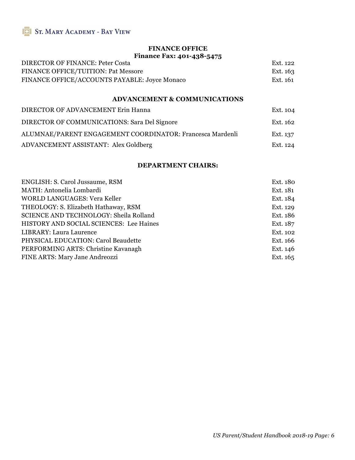#### **FINANCE OFFICE Finance Fax: 401-438-5475**

| DIRECTOR OF FINANCE: Peter Costa              | Ext. 122 |
|-----------------------------------------------|----------|
| <b>FINANCE OFFICE/TUITION: Pat Messore</b>    | Ext. 163 |
| FINANCE OFFICE/ACCOUNTS PAYABLE: Joyce Monaco | Ext. 161 |

#### **ADVANCEMENT & COMMUNICATIONS**

| DIRECTOR OF ADVANCEMENT Erin Hanna                        | Ext. 104 |
|-----------------------------------------------------------|----------|
| DIRECTOR OF COMMUNICATIONS: Sara Del Signore              | Ext. 162 |
| ALUMNAE/PARENT ENGAGEMENT COORDINATOR: Francesca Mardenli | Ext. 137 |
| ADVANCEMENT ASSISTANT: Alex Goldberg                      | Ext. 124 |

#### **DEPARTMENT CHAIRS:**

| ENGLISH: S. Carol Jussaume, RSM               | Ext. 180 |
|-----------------------------------------------|----------|
| MATH: Antonelia Lombardi                      | Ext. 181 |
| <b>WORLD LANGUAGES: Vera Keller</b>           | Ext. 184 |
| THEOLOGY: S. Elizabeth Hathaway, RSM          | Ext. 129 |
| <b>SCIENCE AND TECHNOLOGY: Sheila Rolland</b> | Ext. 186 |
| HISTORY AND SOCIAL SCIENCES: Lee Haines       | Ext. 187 |
| LIBRARY: Laura Laurence                       | Ext. 102 |
| PHYSICAL EDUCATION: Carol Beaudette           | Ext. 166 |
| PERFORMING ARTS: Christine Kavanagh           | Ext. 146 |
| FINE ARTS: Mary Jane Andreozzi                | Ext. 165 |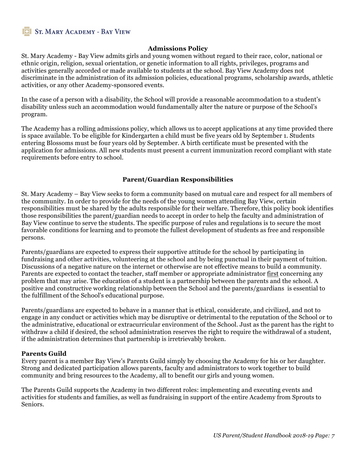#### **Admissions Policy**

St. Mary Academy - Bay View admits girls and young women without regard to their race, color, national or ethnic origin, religion, sexual orientation, or genetic information to all rights, privileges, programs and activities generally accorded or made available to students at the school. Bay View Academy does not discriminate in the administration of its admission policies, educational programs, scholarship awards, athletic activities, or any other Academy-sponsored events.

In the case of a person with a disability, the School will provide a reasonable accommodation to a student's disability unless such an accommodation would fundamentally alter the nature or purpose of the School's program.

The Academy has a rolling admissions policy, which allows us to accept applications at any time provided there is space available. To be eligible for Kindergarten a child must be five years old by September 1. Students entering Blossoms must be four years old by September. A birth certificate must be presented with the application for admissions. All new students must present a current immunization record compliant with state requirements before entry to school.

#### **Parent/Guardian Responsibilities**

St. Mary Academy – Bay View seeks to form a community based on mutual care and respect for all members of the community. In order to provide for the needs of the young women attending Bay View, certain responsibilities must be shared by the adults responsible for their welfare. Therefore, this policy book identifies those responsibilities the parent/guardian needs to accept in order to help the faculty and administration of Bay View continue to serve the students. The specific purpose of rules and regulations is to secure the most favorable conditions for learning and to promote the fullest development of students as free and responsible persons.

Parents/guardians are expected to express their supportive attitude for the school by participating in fundraising and other activities, volunteering at the school and by being punctual in their payment of tuition. Discussions of a negative nature on the internet or otherwise are not effective means to build a community. Parents are expected to contact the teacher, staff member or appropriate administrator first concerning any problem that may arise. The education of a student is a partnership between the parents and the school. A positive and constructive working relationship between the School and the parents/guardians is essential to the fulfillment of the School's educational purpose.

Parents/guardians are expected to behave in a manner that is ethical, considerate, and civilized, and not to engage in any conduct or activities which may be disruptive or detrimental to the reputation of the School or to the administrative, educational or extracurricular environment of the School. Just as the parent has the right to withdraw a child if desired, the school administration reserves the right to require the withdrawal of a student, if the administration determines that partnership is irretrievably broken.

#### **Parents Guild**

Every parent is a member Bay View's Parents Guild simply by choosing the Academy for his or her daughter. Strong and dedicated participation allows parents, faculty and administrators to work together to build community and bring resources to the Academy, all to benefit our girls and young women.

The Parents Guild supports the Academy in two different roles: implementing and executing events and activities for students and families, as well as fundraising in support of the entire Academy from Sprouts to Seniors.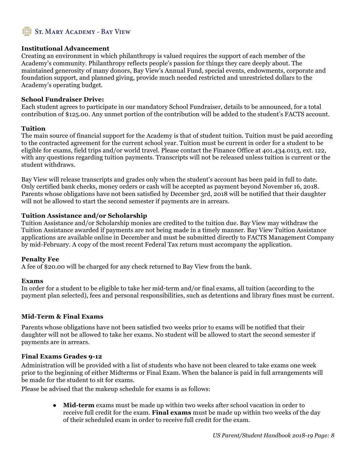#### **Institutional Advancement**

Creating an environment in which philanthropy is valued requires the support of each member of the Academy's community. Philanthropy reflects people's passion for things they care deeply about. The maintained generosity of many donors, Bay View's Annual Fund, special events, endowments, corporate and foundation support, and planned giving, provide much needed restricted and unrestricted dollars to the Academy's operating budget.

#### **School Fundraiser Drive:**

Each student agrees to participate in our mandatory School Fundraiser, details to be announced, for a total contribution of \$125.00. Any unmet portion of the contribution will be added to the student's FACTS account.

#### **Tuition**

The main source of financial support for the Academy is that of student tuition. Tuition must be paid according to the contracted agreement for the current school year. Tuition must be current in order for a student to be eligible for exams, field trips and/or world travel. Please contact the Finance Office at 401.434.0113, ext. 122, with any questions regarding tuition payments. Transcripts will not be released unless tuition is current or the student withdraws.

Bay View will release transcripts and grades only when the student's account has been paid in full to date. Only certified bank checks, money orders or cash will be accepted as payment beyond November 16, 2018. Parents whose obligations have not been satisfied by December 3rd, 2018 will be notified that their daughter will not be allowed to start the second semester if payments are in arrears.

#### **Tuition Assistance and/or Scholarship**

Tuition Assistance and/or Scholarship monies are credited to the tuition due. Bay View may withdraw the Tuition Assistance awarded if payments are not being made in a timely manner. Bay View Tuition Assistance applications are available online in December and must be submitted directly to FACTS Management Company by mid-February. A copy of the most recent Federal Tax return must accompany the application.

#### **Penalty Fee**

A fee of \$20.00 will be charged for any check returned to Bay View from the bank.

#### **Exams**

In order for a student to be eligible to take her mid-term and/or final exams, all tuition (according to the payment plan selected), fees and personal responsibilities, such as detentions and library fines must be current.

#### **Mid-Term & Final Exams**

Parents whose obligations have not been satisfied two weeks prior to exams will be notified that their daughter will not be allowed to take her exams. No student will be allowed to start the second semester if payments are in arrears.

#### **Final Exams Grades 9-12**

Administration will be provided with a list of students who have not been cleared to take exams one week prior to the beginning of either Midterms or Final Exam. When the balance is paid in full arrangements will be made for the student to sit for exams.

Please be advised that the makeup schedule for exams is as follows:

● **Mid-term** exams must be made up within two weeks after school vacation in order to receive full credit for the exam. **Final exams** must be made up within two weeks of the day of their scheduled exam in order to receive full credit for the exam.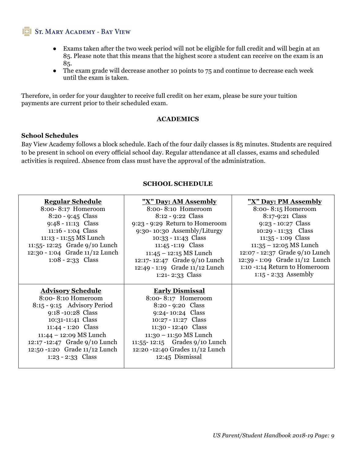- Exams taken after the two week period will not be eligible for full credit and will begin at an 85. Please note that this means that the highest score a student can receive on the exam is an 85.
- The exam grade will decrease another 10 points to 75 and continue to decrease each week until the exam is taken.

Therefore, in order for your daughter to receive full credit on her exam, please be sure your tuition payments are current prior to their scheduled exam.

#### **ACADEMICS**

#### **School Schedules**

Bay View Academy follows a block schedule. Each of the four daily classes is 85 minutes. Students are required to be present in school on every official school day. Regular attendance at all classes, exams and scheduled activities is required. Absence from class must have the approval of the administration.

#### **SCHOOL SCHEDULE**

| <b>Regular Schedule</b><br>8:00-8:17 Homeroom<br>$8:20 - 9:45$ Class<br>$9:48 - 11:13$ Class<br>$11:16 - 1:04$ Class<br>11:13 - 11:55 MS Lunch<br>11:55-12:25 Grade 9/10 Lunch<br>12:30 - 1:04 Grade 11/12 Lunch<br>$1:08 - 2:33$ Class                            | "X" Day: AM Assembly<br>8:00-8:10 Homeroom<br>8:12 - 9:22 Class<br>9:23 - 9:29 Return to Homeroom<br>9:30-10:30 Assembly/Liturgy<br>10:33 - 11:43 Class<br>11:45 -1:19 Class<br>$11:45 - 12:15$ MS Lunch<br>12:17-12:47 Grade 9/10 Lunch<br>12:49 - 1:19 Grade 11/12 Lunch          | "X" Day: PM Assembly<br>8:00-8:15 Homeroom<br>8:17-9:21 Class<br>$9:23 - 10:27$ Class<br>$10:29 - 11:33$ Class<br>$11:35 - 1:09$ Class<br>$11:35 - 12:05$ MS Lunch<br>12:07 - 12:37 Grade 9/10 Lunch<br>12:39 - 1:09 Grade 11/12 Lunch<br>1:10 -1:14 Return to Homeroom |
|--------------------------------------------------------------------------------------------------------------------------------------------------------------------------------------------------------------------------------------------------------------------|-------------------------------------------------------------------------------------------------------------------------------------------------------------------------------------------------------------------------------------------------------------------------------------|-------------------------------------------------------------------------------------------------------------------------------------------------------------------------------------------------------------------------------------------------------------------------|
| <b>Advisory Schedule</b><br>8:00-8:10 Homeroom<br>$8:15 - 9:15$ Advisory Period<br>9:18 -10:28 Class<br>10:31-11:41 Class<br>11:44 - 1:20 Class<br>11:44 - 12:09 MS Lunch<br>12:17 -12:47 Grade 9/10 Lunch<br>12:50 -1:20 Grade 11/12 Lunch<br>$1:23 - 2:33$ Class | $1:21 - 2:33$ Class<br><b>Early Dismissal</b><br>8:00-8:17 Homeroom<br>8:20 - 9:20 Class<br>$9:24 - 10:24$ Class<br>10:27 - 11:27 Class<br>11:30 - 12:40 Class<br>$11:30 - 11:50$ MS Lunch<br>11:55-12:15 Grades $9/10$ Lunch<br>12:20 -12:40 Grades 11/12 Lunch<br>12:45 Dismissal | 1:15 - 2:33 Assembly                                                                                                                                                                                                                                                    |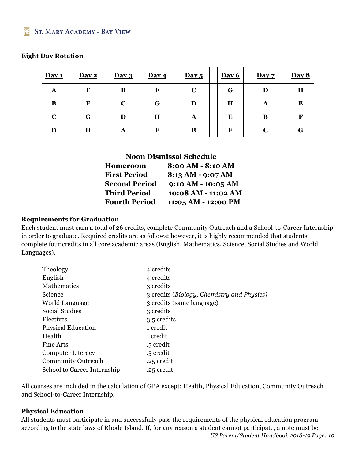#### **Eight Day Rotation**

| Day 1       | Day 2     | Day 3       | Day 4       | Day 5       | Day 6 | Day 7 | Day 8 |
|-------------|-----------|-------------|-------------|-------------|-------|-------|-------|
| A           | ${\bf E}$ | B           | F           | $\mathbf C$ | G     | D     | H     |
| B           | F         | $\mathbf C$ | G           | D           | H     | A     | E     |
| $\mathbf C$ | G         | D           | $\mathbf H$ | A           | E     | B     | F     |
| D           | H         | A           | E           | B           | F     |       | G     |

#### **Noon Dismissal Schedule**

| Homeroom             | 8:00 AM - 8:10 AM    |
|----------------------|----------------------|
| <b>First Period</b>  | 8:13 AM - 9:07 AM    |
| <b>Second Period</b> | $9:10 AM - 10:05 AM$ |
| <b>Third Period</b>  | 10:08 AM - 11:02 AM  |
| <b>Fourth Period</b> | 11:05 AM - 12:00 PM  |

#### **Requirements for Graduation**

Each student must earn a total of 26 credits, complete Community Outreach and a School-to-Career Internship in order to graduate. Required credits are as follows; however, it is highly recommended that students complete four credits in all core academic areas (English, Mathematics, Science, Social Studies and World Languages).

| Theology                    | 4 credits                                                          |
|-----------------------------|--------------------------------------------------------------------|
| English                     | 4 credits                                                          |
| Mathematics                 | 3 credits                                                          |
| <b>Science</b>              | 3 credits ( <i>Biology</i> , <i>Chemistry</i> and <i>Physics</i> ) |
| World Language              | 3 credits (same language)                                          |
| Social Studies              | 3 credits                                                          |
| Electives                   | 3.5 credits                                                        |
| <b>Physical Education</b>   | 1 credit                                                           |
| Health                      | 1 credit                                                           |
| Fine Arts                   | .5 credit                                                          |
| <b>Computer Literacy</b>    | .5 credit                                                          |
| <b>Community Outreach</b>   | .25 credit                                                         |
| School to Career Internship | .25 credit                                                         |

All courses are included in the calculation of GPA except: Health, Physical Education, Community Outreach and School-to-Career Internship.

#### **Physical Education**

*US Parent/Student Handbook 2018-19 Page: 10* All students must participate in and successfully pass the requirements of the physical education program according to the state laws of Rhode Island. If, for any reason a student cannot participate, a note must be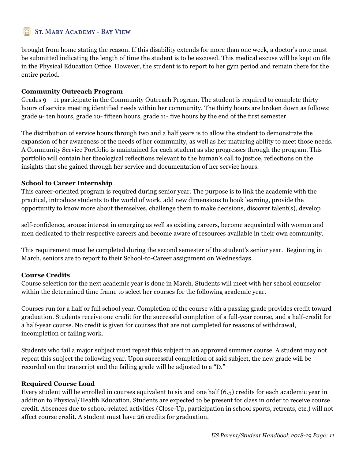brought from home stating the reason. If this disability extends for more than one week, a doctor's note must be submitted indicating the length of time the student is to be excused. This medical excuse will be kept on file in the Physical Education Office. However, the student is to report to her gym period and remain there for the entire period.

#### **Community Outreach Program**

Grades 9 – 11 participate in the Community Outreach Program. The student is required to complete thirty hours of service meeting identified needs within her community. The thirty hours are broken down as follows: grade 9- ten hours, grade 10- fifteen hours, grade 11- five hours by the end of the first semester.

The distribution of service hours through two and a half years is to allow the student to demonstrate the expansion of her awareness of the needs of her community, as well as her maturing ability to meet those needs. A Community Service Portfolio is maintained for each student as she progresses through the program. This portfolio will contain her theological reflections relevant to the human's call to justice, reflections on the insights that she gained through her service and documentation of her service hours.

#### **School to Career Internship**

This career-oriented program is required during senior year. The purpose is to link the academic with the practical, introduce students to the world of work, add new dimensions to book learning, provide the opportunity to know more about themselves, challenge them to make decisions, discover talent(s), develop

self-confidence, arouse interest in emerging as well as existing careers, become acquainted with women and men dedicated to their respective careers and become aware of resources available in their own community.

This requirement must be completed during the second semester of the student's senior year. Beginning in March, seniors are to report to their School-to-Career assignment on Wednesdays.

#### **Course Credits**

Course selection for the next academic year is done in March. Students will meet with her school counselor within the determined time frame to select her courses for the following academic year.

Courses run for a half or full school year. Completion of the course with a passing grade provides credit toward graduation. Students receive one credit for the successful completion of a full-year course, and a half-credit for a half-year course. No credit is given for courses that are not completed for reasons of withdrawal, incompletion or failing work.

Students who fail a major subject must repeat this subject in an approved summer course. A student may not repeat this subject the following year. Upon successful completion of said subject, the new grade will be recorded on the transcript and the failing grade will be adjusted to a "D."

#### **Required Course Load**

Every student will be enrolled in courses equivalent to six and one half (6.5) credits for each academic year in addition to Physical/Health Education. Students are expected to be present for class in order to receive course credit. Absences due to school-related activities (Close-Up, participation in school sports, retreats, etc.) will not affect course credit. A student must have 26 credits for graduation.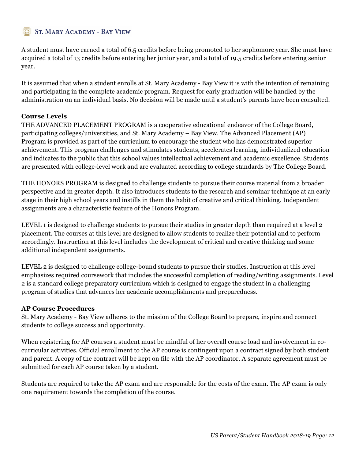A student must have earned a total of 6.5 credits before being promoted to her sophomore year. She must have acquired a total of 13 credits before entering her junior year, and a total of 19.5 credits before entering senior year.

It is assumed that when a student enrolls at St. Mary Academy - Bay View it is with the intention of remaining and participating in the complete academic program. Request for early graduation will be handled by the administration on an individual basis. No decision will be made until a student's parents have been consulted.

#### **Course Levels**

THE ADVANCED PLACEMENT PROGRAM is a cooperative educational endeavor of the College Board, participating colleges/universities, and St. Mary Academy – Bay View. The Advanced Placement (AP) Program is provided as part of the curriculum to encourage the student who has demonstrated superior achievement. This program challenges and stimulates students, accelerates learning, individualized education and indicates to the public that this school values intellectual achievement and academic excellence. Students are presented with college-level work and are evaluated according to college standards by The College Board.

THE HONORS PROGRAM is designed to challenge students to pursue their course material from a broader perspective and in greater depth. It also introduces students to the research and seminar technique at an early stage in their high school years and instills in them the habit of creative and critical thinking. Independent assignments are a characteristic feature of the Honors Program.

LEVEL 1 is designed to challenge students to pursue their studies in greater depth than required at a level 2 placement. The courses at this level are designed to allow students to realize their potential and to perform accordingly. Instruction at this level includes the development of critical and creative thinking and some additional independent assignments.

LEVEL 2 is designed to challenge college-bound students to pursue their studies. Instruction at this level emphasizes required coursework that includes the successful completion of reading/writing assignments. Level 2 is a standard college preparatory curriculum which is designed to engage the student in a challenging program of studies that advances her academic accomplishments and preparedness.

#### **AP Course Procedures**

St. Mary Academy - Bay View adheres to the mission of the College Board to prepare, inspire and connect students to college success and opportunity.

When registering for AP courses a student must be mindful of her overall course load and involvement in cocurricular activities. Official enrollment to the AP course is contingent upon a contract signed by both student and parent. A copy of the contract will be kept on file with the AP coordinator. A separate agreement must be submitted for each AP course taken by a student.

Students are required to take the AP exam and are responsible for the costs of the exam. The AP exam is only one requirement towards the completion of the course.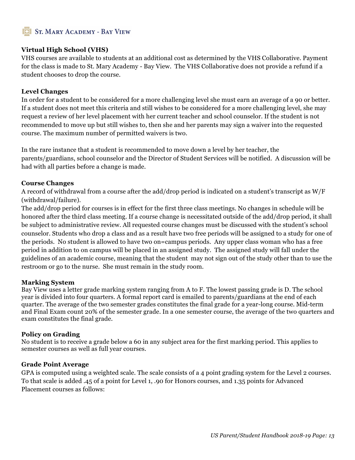#### **Virtual High School (VHS)**

VHS courses are available to students at an additional cost as determined by the VHS Collaborative. Payment for the class is made to St. Mary Academy - Bay View. The VHS Collaborative does not provide a refund if a student chooses to drop the course.

#### **Level Changes**

In order for a student to be considered for a more challenging level she must earn an average of a 90 or better. If a student does not meet this criteria and still wishes to be considered for a more challenging level, she may request a review of her level placement with her current teacher and school counselor. If the student is not recommended to move up but still wishes to, then she and her parents may sign a waiver into the requested course. The maximum number of permitted waivers is two.

In the rare instance that a student is recommended to move down a level by her teacher, the parents/guardians, school counselor and the Director of Student Services will be notified. A discussion will be had with all parties before a change is made.

#### **Course Changes**

A record of withdrawal from a course after the add/drop period is indicated on a student's transcript as W/F (withdrawal/failure).

The add/drop period for courses is in effect for the first three class meetings. No changes in schedule will be honored after the third class meeting. If a course change is necessitated outside of the add/drop period, it shall be subject to administrative review. All requested course changes must be discussed with the student's school counselor. Students who drop a class and as a result have two free periods will be assigned to a study for one of the periods. No student is allowed to have two on=campus periods. Any upper class woman who has a free period in addition to on campus will be placed in an assigned study. The assigned study will fall under the guidelines of an academic course, meaning that the student may not sign out of the study other than to use the restroom or go to the nurse. She must remain in the study room.

#### **Marking System**

Bay View uses a letter grade marking system ranging from A to F. The lowest passing grade is D. The school year is divided into four quarters. A formal report card is emailed to parents/guardians at the end of each quarter. The average of the two semester grades constitutes the final grade for a year-long course. Mid-term and Final Exam count 20% of the semester grade. In a one semester course, the average of the two quarters and exam constitutes the final grade.

#### **Policy on Grading**

No student is to receive a grade below a 60 in any subject area for the first marking period. This applies to semester courses as well as full year courses.

#### **Grade Point Average**

GPA is computed using a weighted scale. The scale consists of a 4 point grading system for the Level 2 courses. To that scale is added .45 of a point for Level 1, .90 for Honors courses, and 1.35 points for Advanced Placement courses as follows: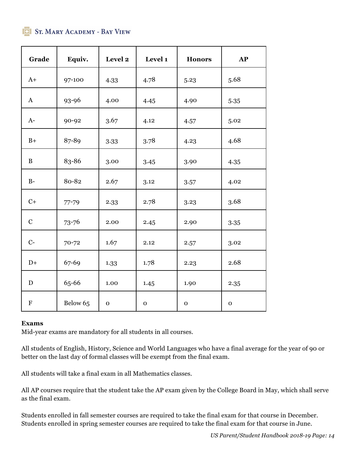| Grade       | Equiv.    | Level 2     | Level 1     | <b>Honors</b> | AP        |
|-------------|-----------|-------------|-------------|---------------|-----------|
| $A+$        | 97-100    | 4.33        | 4.78        | 5.23          | 5.68      |
| $\bf{A}$    | 93-96     | 4.00        | 4.45        | 4.90          | 5.35      |
| $A-$        | 90-92     | 3.67        | 4.12        | 4.57          | 5.02      |
| $B+$        | 87-89     | 3.33        | 3.78        | 4.23          | 4.68      |
| B           | 83-86     | 3.00        | 3.45        | 3.90          | 4.35      |
| $B-$        | 80-82     | 2.67        | 3.12        | 3.57          | 4.02      |
| $C+$        | $77 - 79$ | 2.33        | 2.78        | 3.23          | 3.68      |
| $\mathbf C$ | $73 - 76$ | 2.00        | 2.45        | 2.90          | 3.35      |
| $C-$        | $70 - 72$ | 1.67        | 2.12        | 2.57          | 3.02      |
| $D+$        | 67-69     | 1.33        | 1.78        | 2.23          | 2.68      |
| $\mathbf D$ | 65-66     | 1.00        | 1.45        | 1.90          | 2.35      |
| $\mathbf F$ | Below 65  | $\mathbf 0$ | $\mathbf O$ | ${\bf O}$     | ${\bf O}$ |

#### **Exams**

Mid-year exams are mandatory for all students in all courses.

All students of English, History, Science and World Languages who have a final average for the year of 90 or better on the last day of formal classes will be exempt from the final exam.

All students will take a final exam in all Mathematics classes.

All AP courses require that the student take the AP exam given by the College Board in May, which shall serve as the final exam.

Students enrolled in fall semester courses are required to take the final exam for that course in December. Students enrolled in spring semester courses are required to take the final exam for that course in June.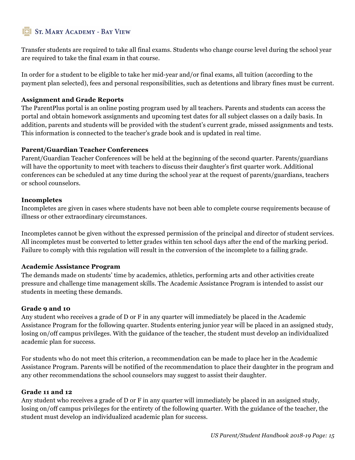Transfer students are required to take all final exams. Students who change course level during the school year are required to take the final exam in that course.

In order for a student to be eligible to take her mid-year and/or final exams, all tuition (according to the payment plan selected), fees and personal responsibilities, such as detentions and library fines must be current.

#### **Assignment and Grade Reports**

The ParentPlus portal is an online posting program used by all teachers. Parents and students can access the portal and obtain homework assignments and upcoming test dates for all subject classes on a daily basis. In addition, parents and students will be provided with the student's current grade, missed assignments and tests. This information is connected to the teacher's grade book and is updated in real time.

#### **Parent/Guardian Teacher Conferences**

Parent/Guardian Teacher Conferences will be held at the beginning of the second quarter. Parents/guardians will have the opportunity to meet with teachers to discuss their daughter's first quarter work. Additional conferences can be scheduled at any time during the school year at the request of parents/guardians, teachers or school counselors.

#### **Incompletes**

Incompletes are given in cases where students have not been able to complete course requirements because of illness or other extraordinary circumstances.

Incompletes cannot be given without the expressed permission of the principal and director of student services. All incompletes must be converted to letter grades within ten school days after the end of the marking period. Failure to comply with this regulation will result in the conversion of the incomplete to a failing grade.

#### **Academic Assistance Program**

The demands made on students' time by academics, athletics, performing arts and other activities create pressure and challenge time management skills. The Academic Assistance Program is intended to assist our students in meeting these demands.

#### **Grade 9 and 10**

Any student who receives a grade of D or F in any quarter will immediately be placed in the Academic Assistance Program for the following quarter. Students entering junior year will be placed in an assigned study, losing on/off campus privileges. With the guidance of the teacher, the student must develop an individualized academic plan for success.

For students who do not meet this criterion, a recommendation can be made to place her in the Academic Assistance Program. Parents will be notified of the recommendation to place their daughter in the program and any other recommendations the school counselors may suggest to assist their daughter.

#### **Grade 11 and 12**

Any student who receives a grade of D or F in any quarter will immediately be placed in an assigned study, losing on/off campus privileges for the entirety of the following quarter. With the guidance of the teacher, the student must develop an individualized academic plan for success.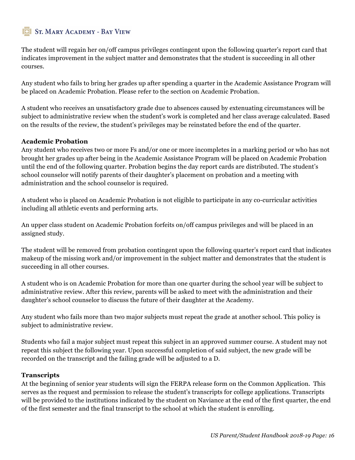The student will regain her on/off campus privileges contingent upon the following quarter's report card that indicates improvement in the subject matter and demonstrates that the student is succeeding in all other courses.

Any student who fails to bring her grades up after spending a quarter in the Academic Assistance Program will be placed on Academic Probation. Please refer to the section on Academic Probation.

A student who receives an unsatisfactory grade due to absences caused by extenuating circumstances will be subject to administrative review when the student's work is completed and her class average calculated. Based on the results of the review, the student's privileges may be reinstated before the end of the quarter.

#### **Academic Probation**

Any student who receives two or more Fs and/or one or more incompletes in a marking period or who has not brought her grades up after being in the Academic Assistance Program will be placed on Academic Probation until the end of the following quarter. Probation begins the day report cards are distributed. The student's school counselor will notify parents of their daughter's placement on probation and a meeting with administration and the school counselor is required.

A student who is placed on Academic Probation is not eligible to participate in any co-curricular activities including all athletic events and performing arts.

An upper class student on Academic Probation forfeits on/off campus privileges and will be placed in an assigned study.

The student will be removed from probation contingent upon the following quarter's report card that indicates makeup of the missing work and/or improvement in the subject matter and demonstrates that the student is succeeding in all other courses.

A student who is on Academic Probation for more than one quarter during the school year will be subject to administrative review. After this review, parents will be asked to meet with the administration and their daughter's school counselor to discuss the future of their daughter at the Academy.

Any student who fails more than two major subjects must repeat the grade at another school. This policy is subject to administrative review.

Students who fail a major subject must repeat this subject in an approved summer course. A student may not repeat this subject the following year. Upon successful completion of said subject, the new grade will be recorded on the transcript and the failing grade will be adjusted to a D.

#### **Transcripts**

At the beginning of senior year students will sign the FERPA release form on the Common Application. This serves as the request and permission to release the student's transcripts for college applications. Transcripts will be provided to the institutions indicated by the student on Naviance at the end of the first quarter, the end of the first semester and the final transcript to the school at which the student is enrolling.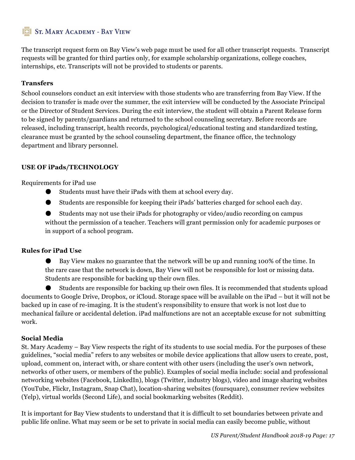The transcript request form on Bay View's web page must be used for all other transcript requests. Transcript requests will be granted for third parties only, for example scholarship organizations, college coaches, internships, etc. Transcripts will not be provided to students or parents.

#### **Transfers**

School counselors conduct an exit interview with those students who are transferring from Bay View. If the decision to transfer is made over the summer, the exit interview will be conducted by the Associate Principal or the Director of Student Services. During the exit interview, the student will obtain a Parent Release form to be signed by parents/guardians and returned to the school counseling secretary. Before records are released, including transcript, health records, psychological/educational testing and standardized testing, clearance must be granted by the school counseling department, the finance office, the technology department and library personnel.

#### **USE OF iPads/TECHNOLOGY**

Requirements for iPad use

- Students must have their iPads with them at school every day.
- Students are responsible for keeping their iPads' batteries charged for school each day.

● Students may not use their iPads for photography or video/audio recording on campus without the permission of a teacher. Teachers will grant permission only for academic purposes or in support of a school program.

#### **Rules for iPad Use**

Bay View makes no guarantee that the network will be up and running 100% of the time. In the rare case that the network is down, Bay View will not be responsible for lost or missing data. Students are responsible for backing up their own files.

Students are responsible for backing up their own files. It is recommended that students upload documents to Google Drive, Dropbox, or iCloud. Storage space will be available on the iPad – but it will not be backed up in case of re-imaging. It is the student's responsibility to ensure that work is not lost due to mechanical failure or accidental deletion. iPad malfunctions are not an acceptable excuse for not submitting work.

#### **Social Media**

St. Mary Academy – Bay View respects the right of its students to use social media. For the purposes of these guidelines, "social media" refers to any websites or mobile device applications that allow users to create, post, upload, comment on, interact with, or share content with other users (including the user's own network, networks of other users, or members of the public). Examples of social media include: social and professional networking websites (Facebook, LinkedIn), blogs (Twitter, industry blogs), video and image sharing websites (YouTube, Flickr, Instagram, Snap Chat), location-sharing websites (foursquare), consumer review websites (Yelp), virtual worlds (Second Life), and social bookmarking websites (Reddit).

It is important for Bay View students to understand that it is difficult to set boundaries between private and public life online. What may seem or be set to private in social media can easily become public, without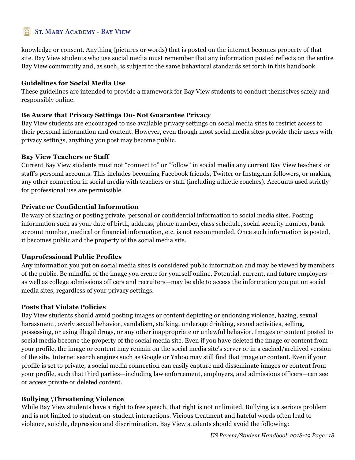knowledge or consent. Anything (pictures or words) that is posted on the internet becomes property of that site. Bay View students who use social media must remember that any information posted reflects on the entire Bay View community and, as such, is subject to the same behavioral standards set forth in this handbook.

#### **Guidelines for Social Media Use**

These guidelines are intended to provide a framework for Bay View students to conduct themselves safely and responsibly online.

#### **Be Aware that Privacy Settings Do- Not Guarantee Privacy**

Bay View students are encouraged to use available privacy settings on social media sites to restrict access to their personal information and content. However, even though most social media sites provide their users with privacy settings, anything you post may become public.

#### **Bay View Teachers or Staff**

Current Bay View students must not "connect to" or "follow" in social media any current Bay View teachers' or staff's personal accounts. This includes becoming Facebook friends, Twitter or Instagram followers, or making any other connection in social media with teachers or staff (including athletic coaches). Accounts used strictly for professional use are permissible.

#### **Private or Confidential Information**

Be wary of sharing or posting private, personal or confidential information to social media sites. Posting information such as your date of birth, address, phone number, class schedule, social security number, bank account number, medical or financial information, etc. is not recommended. Once such information is posted, it becomes public and the property of the social media site.

#### **Unprofessional Public Profiles**

Any information you put on social media sites is considered public information and may be viewed by members of the public. Be mindful of the image you create for yourself online. Potential, current, and future employers as well as college admissions officers and recruiters—may be able to access the information you put on social media sites, regardless of your privacy settings.

#### **Posts that Violate Policies**

Bay View students should avoid posting images or content depicting or endorsing violence, hazing, sexual harassment, overly sexual behavior, vandalism, stalking, underage drinking, sexual activities, selling, possessing, or using illegal drugs, or any other inappropriate or unlawful behavior. Images or content posted to social media become the property of the social media site. Even if you have deleted the image or content from your profile, the image or content may remain on the social media site's server or in a cached/archived version of the site. Internet search engines such as Google or Yahoo may still find that image or content. Even if your profile is set to private, a social media connection can easily capture and disseminate images or content from your profile, such that third parties—including law enforcement, employers, and admissions officers—can see or access private or deleted content.

#### **Bullying \Threatening Violence**

While Bay View students have a right to free speech, that right is not unlimited. Bullying is a serious problem and is not limited to student-on-student interactions. Vicious treatment and hateful words often lead to violence, suicide, depression and discrimination. Bay View students should avoid the following: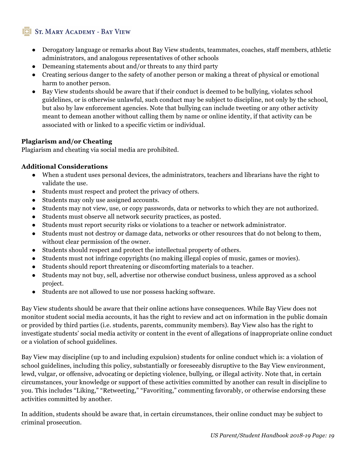- Derogatory language or remarks about Bay View students, teammates, coaches, staff members, athletic administrators, and analogous representatives of other schools
- Demeaning statements about and/or threats to any third party
- Creating serious danger to the safety of another person or making a threat of physical or emotional harm to another person.
- Bay View students should be aware that if their conduct is deemed to be bullying, violates school guidelines, or is otherwise unlawful, such conduct may be subject to discipline, not only by the school, but also by law enforcement agencies. Note that bullying can include tweeting or any other activity meant to demean another without calling them by name or online identity, if that activity can be associated with or linked to a specific victim or individual.

#### **Plagiarism and/or Cheating**

Plagiarism and cheating via social media are prohibited.

#### **Additional Considerations**

- When a student uses personal devices, the administrators, teachers and librarians have the right to validate the use.
- Students must respect and protect the privacy of others.
- Students may only use assigned accounts.
- Students may not view, use, or copy passwords, data or networks to which they are not authorized.
- Students must observe all network security practices, as posted.
- Students must report security risks or violations to a teacher or network administrator.
- Students must not destroy or damage data, networks or other resources that do not belong to them, without clear permission of the owner.
- Students should respect and protect the intellectual property of others.
- Students must not infringe copyrights (no making illegal copies of music, games or movies).
- Students should report threatening or discomforting materials to a teacher.
- Students may not buy, sell, advertise nor otherwise conduct business, unless approved as a school project.
- Students are not allowed to use nor possess hacking software.

Bay View students should be aware that their online actions have consequences. While Bay View does not monitor student social media accounts, it has the right to review and act on information in the public domain or provided by third parties (i.e. students, parents, community members). Bay View also has the right to investigate students' social media activity or content in the event of allegations of inappropriate online conduct or a violation of school guidelines.

Bay View may discipline (up to and including expulsion) students for online conduct which is: a violation of school guidelines, including this policy, substantially or foreseeably disruptive to the Bay View environment, lewd, vulgar, or offensive, advocating or depicting violence, bullying, or illegal activity. Note that, in certain circumstances, your knowledge or support of these activities committed by another can result in discipline to you. This includes "Liking," "Retweeting," "Favoriting," commenting favorably, or otherwise endorsing these activities committed by another.

In addition, students should be aware that, in certain circumstances, their online conduct may be subject to criminal prosecution.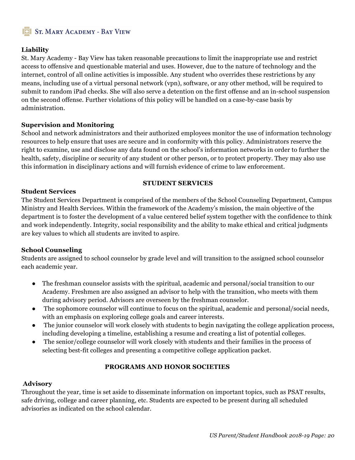#### **Liability**

St. Mary Academy - Bay View has taken reasonable precautions to limit the inappropriate use and restrict access to offensive and questionable material and uses. However, due to the nature of technology and the internet, control of all online activities is impossible. Any student who overrides these restrictions by any means, including use of a virtual personal network (vpn), software, or any other method, will be required to submit to random iPad checks. She will also serve a detention on the first offense and an in-school suspension on the second offense. Further violations of this policy will be handled on a case-by-case basis by administration.

#### **Supervision and Monitoring**

School and network administrators and their authorized employees monitor the use of information technology resources to help ensure that uses are secure and in conformity with this policy. Administrators reserve the right to examine, use and disclose any data found on the school's information networks in order to further the health, safety, discipline or security of any student or other person, or to protect property. They may also use this information in disciplinary actions and will furnish evidence of crime to law enforcement.

#### **STUDENT SERVICES**

#### **Student Services**

The Student Services Department is comprised of the members of the School Counseling Department, Campus Ministry and Health Services. Within the framework of the Academy's mission, the main objective of the department is to foster the development of a value centered belief system together with the confidence to think and work independently. Integrity, social responsibility and the ability to make ethical and critical judgments are key values to which all students are invited to aspire.

#### **School Counseling**

Students are assigned to school counselor by grade level and will transition to the assigned school counselor each academic year.

- The freshman counselor assists with the spiritual, academic and personal/social transition to our Academy. Freshmen are also assigned an advisor to help with the transition, who meets with them during advisory period. Advisors are overseen by the freshman counselor.
- The sophomore counselor will continue to focus on the spiritual, academic and personal/social needs, with an emphasis on exploring college goals and career interests.
- The junior counselor will work closely with students to begin navigating the college application process, including developing a timeline, establishing a resume and creating a list of potential colleges.
- The senior/college counselor will work closely with students and their families in the process of selecting best-fit colleges and presenting a competitive college application packet.

#### **PROGRAMS AND HONOR SOCIETIES**

#### **Advisory**

Throughout the year, time is set aside to disseminate information on important topics, such as PSAT results, safe driving, college and career planning, etc. Students are expected to be present during all scheduled advisories as indicated on the school calendar.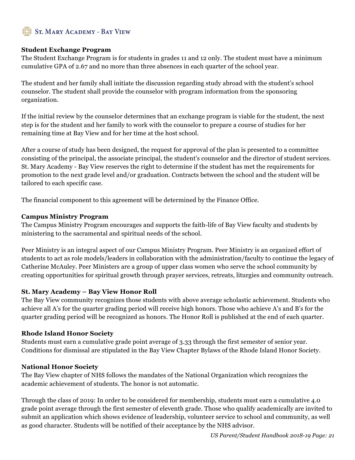#### **Student Exchange Program**

The Student Exchange Program is for students in grades 11 and 12 only. The student must have a minimum cumulative GPA of 2.67 and no more than three absences in each quarter of the school year.

The student and her family shall initiate the discussion regarding study abroad with the student's school counselor. The student shall provide the counselor with program information from the sponsoring organization.

If the initial review by the counselor determines that an exchange program is viable for the student, the next step is for the student and her family to work with the counselor to prepare a course of studies for her remaining time at Bay View and for her time at the host school.

After a course of study has been designed, the request for approval of the plan is presented to a committee consisting of the principal, the associate principal, the student's counselor and the director of student services. St. Mary Academy - Bay View reserves the right to determine if the student has met the requirements for promotion to the next grade level and/or graduation. Contracts between the school and the student will be tailored to each specific case.

The financial component to this agreement will be determined by the Finance Office.

#### **Campus Ministry Program**

The Campus Ministry Program encourages and supports the faith-life of Bay View faculty and students by ministering to the sacramental and spiritual needs of the school.

Peer Ministry is an integral aspect of our Campus Ministry Program. Peer Ministry is an organized effort of students to act as role models/leaders in collaboration with the administration/faculty to continue the legacy of Catherine McAuley. Peer Ministers are a group of upper class women who serve the school community by creating opportunities for spiritual growth through prayer services, retreats, liturgies and community outreach.

#### **St. Mary Academy – Bay View Honor Roll**

The Bay View community recognizes those students with above average scholastic achievement. Students who achieve all A's for the quarter grading period will receive high honors. Those who achieve A's and B's for the quarter grading period will be recognized as honors. The Honor Roll is published at the end of each quarter.

#### **Rhode Island Honor Society**

Students must earn a cumulative grade point average of 3.33 through the first semester of senior year. Conditions for dismissal are stipulated in the Bay View Chapter Bylaws of the Rhode Island Honor Society.

#### **National Honor Society**

The Bay View chapter of NHS follows the mandates of the National Organization which recognizes the academic achievement of students. The honor is not automatic.

Through the class of 2019: In order to be considered for membership, students must earn a cumulative 4.0 grade point average through the first semester of eleventh grade. Those who qualify academically are invited to submit an application which shows evidence of leadership, volunteer service to school and community, as well as good character. Students will be notified of their acceptance by the NHS advisor.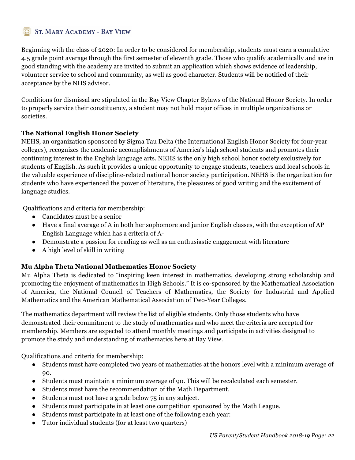Beginning with the class of 2020: In order to be considered for membership, students must earn a cumulative 4.5 grade point average through the first semester of eleventh grade. Those who qualify academically and are in good standing with the academy are invited to submit an application which shows evidence of leadership, volunteer service to school and community, as well as good character. Students will be notified of their acceptance by the NHS advisor.

Conditions for dismissal are stipulated in the Bay View Chapter Bylaws of the National Honor Society. In order to properly service their constituency, a student may not hold major offices in multiple organizations or societies.

#### **The National English Honor Society**

NEHS, an organization sponsored by Sigma Tau Delta (the International English Honor Society for four-year colleges), recognizes the academic accomplishments of America's high school students and promotes their continuing interest in the English language arts. NEHS is the only high school honor society exclusively for students of English. As such it provides a unique opportunity to engage students, teachers and local schools in the valuable experience of discipline-related national honor society participation. NEHS is the organization for students who have experienced the power of literature, the pleasures of good writing and the excitement of language studies.

Qualifications and criteria for membership:

- Candidates must be a senior
- Have a final average of A in both her sophomore and junior English classes, with the exception of AP English Language which has a criteria of A-
- Demonstrate a passion for reading as well as an enthusiastic engagement with literature
- A high level of skill in writing

#### **Mu Alpha Theta National Mathematics Honor Society**

Mu Alpha Theta is dedicated to "inspiring keen interest in mathematics, developing strong scholarship and promoting the enjoyment of mathematics in High Schools." It is co-sponsored by the Mathematical Association of America, the National Council of Teachers of Mathematics, the Society for Industrial and Applied Mathematics and the American Mathematical Association of Two-Year Colleges.

The mathematics department will review the list of eligible students. Only those students who have demonstrated their commitment to the study of mathematics and who meet the criteria are accepted for membership. Members are expected to attend monthly meetings and participate in activities designed to promote the study and understanding of mathematics here at Bay View.

Qualifications and criteria for membership:

- Students must have completed two years of mathematics at the honors level with a minimum average of 90.
- Students must maintain a minimum average of 90. This will be recalculated each semester.
- Students must have the recommendation of the Math Department.
- Students must not have a grade below 75 in any subject.
- Students must participate in at least one competition sponsored by the Math League.
- Students must participate in at least one of the following each year:
- Tutor individual students (for at least two quarters)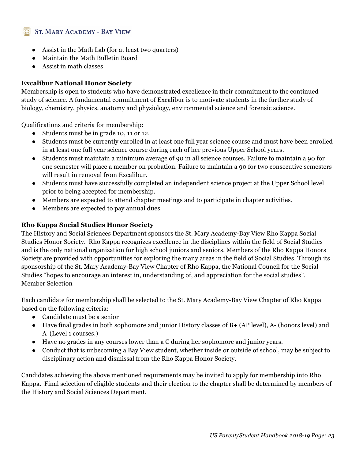- Assist in the Math Lab (for at least two quarters)
- Maintain the Math Bulletin Board
- Assist in math classes

#### **Excalibur National Honor Society**

Membership is open to students who have demonstrated excellence in their commitment to the continued study of science. A fundamental commitment of Excalibur is to motivate students in the further study of biology, chemistry, physics, anatomy and physiology, environmental science and forensic science.

Qualifications and criteria for membership:

- Students must be in grade 10, 11 or 12.
- Students must be currently enrolled in at least one full year science course and must have been enrolled in at least one full year science course during each of her previous Upper School years.
- Students must maintain a minimum average of 90 in all science courses. Failure to maintain a 90 for one semester will place a member on probation. Failure to maintain a 90 for two consecutive semesters will result in removal from Excalibur.
- Students must have successfully completed an independent science project at the Upper School level prior to being accepted for membership.
- Members are expected to attend chapter meetings and to participate in chapter activities.
- Members are expected to pay annual dues.

#### **Rho Kappa Social Studies Honor Society**

The History and Social Sciences Department sponsors the St. Mary Academy-Bay View Rho Kappa Social Studies Honor Society. Rho Kappa recognizes excellence in the disciplines within the field of Social Studies and is the only national organization for high school juniors and seniors. Members of the Rho Kappa Honors Society are provided with opportunities for exploring the many areas in the field of Social Studies. Through its sponsorship of the St. Mary Academy-Bay View Chapter of Rho Kappa, the National Council for the Social Studies "hopes to encourage an interest in, understanding of, and appreciation for the social studies". Member Selection

Each candidate for membership shall be selected to the St. Mary Academy-Bay View Chapter of Rho Kappa based on the following criteria:

- Candidate must be a senior
- Have final grades in both sophomore and junior History classes of B+ (AP level), A- (honors level) and A (Level 1 courses.)
- Have no grades in any courses lower than a C during her sophomore and junior years.
- Conduct that is unbecoming a Bay View student, whether inside or outside of school, may be subject to disciplinary action and dismissal from the Rho Kappa Honor Society.

Candidates achieving the above mentioned requirements may be invited to apply for membership into Rho Kappa. Final selection of eligible students and their election to the chapter shall be determined by members of the History and Social Sciences Department.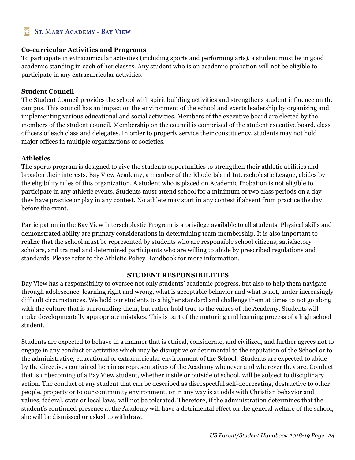#### **Co-curricular Activities and Programs**

To participate in extracurricular activities (including sports and performing arts), a student must be in good academic standing in each of her classes. Any student who is on academic probation will not be eligible to participate in any extracurricular activities.

#### **Student Council**

The Student Council provides the school with spirit building activities and strengthens student influence on the campus. This council has an impact on the environment of the school and exerts leadership by organizing and implementing various educational and social activities. Members of the executive board are elected by the members of the student council. Membership on the council is comprised of the student executive board, class officers of each class and delegates. In order to properly service their constituency, students may not hold major offices in multiple organizations or societies.

#### **Athletics**

The sports program is designed to give the students opportunities to strengthen their athletic abilities and broaden their interests. Bay View Academy, a member of the Rhode Island Interscholastic League, abides by the eligibility rules of this organization. A student who is placed on Academic Probation is not eligible to participate in any athletic events. Students must attend school for a minimum of two class periods on a day they have practice or play in any contest. No athlete may start in any contest if absent from practice the day before the event.

Participation in the Bay View Interscholastic Program is a privilege available to all students. Physical skills and demonstrated ability are primary considerations in determining team membership. It is also important to realize that the school must be represented by students who are responsible school citizens, satisfactory scholars, and trained and determined participants who are willing to abide by prescribed regulations and standards. Please refer to the Athletic Policy Handbook for more information.

#### **STUDENT RESPONSIBILITIES**

Bay View has a responsibility to oversee not only students' academic progress, but also to help them navigate through adolescence, learning right and wrong, what is acceptable behavior and what is not, under increasingly difficult circumstances. We hold our students to a higher standard and challenge them at times to not go along with the culture that is surrounding them, but rather hold true to the values of the Academy. Students will make developmentally appropriate mistakes. This is part of the maturing and learning process of a high school student.

Students are expected to behave in a manner that is ethical, considerate, and civilized, and further agrees not to engage in any conduct or activities which may be disruptive or detrimental to the reputation of the School or to the administrative, educational or extracurricular environment of the School. Students are expected to abide by the directives contained herein as representatives of the Academy whenever and wherever they are. Conduct that is unbecoming of a Bay View student, whether inside or outside of school, will be subject to disciplinary action. The conduct of any student that can be described as disrespectful self-deprecating, destructive to other people, property or to our community environment, or in any way is at odds with Christian behavior and values, federal, state or local laws, will not be tolerated. Therefore, if the administration determines that the student's continued presence at the Academy will have a detrimental effect on the general welfare of the school, she will be dismissed or asked to withdraw.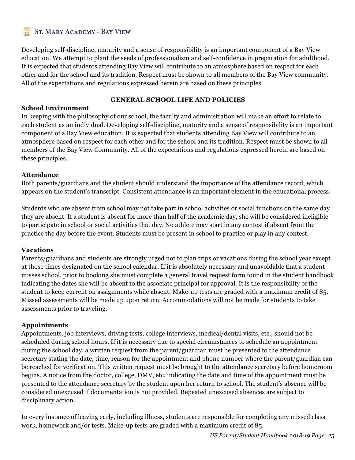Developing self-discipline, maturity and a sense of responsibility is an important component of a Bay View education. We attempt to plant the seeds of professionalism and self-confidence in preparation for adulthood. It is expected that students attending Bay View will contribute to an atmosphere based on respect for each other and for the school and its tradition. Respect must be shown to all members of the Bay View community. All of the expectations and regulations expressed herein are based on these principles.

#### **GENERAL SCHOOL LIFE AND POLICIES**

#### **School Environment**

In keeping with the philosophy of our school, the faculty and administration will make an effort to relate to each student as an individual. Developing self-discipline, maturity and a sense of responsibility is an important component of a Bay View education. It is expected that students attending Bay View will contribute to an atmosphere based on respect for each other and for the school and its tradition. Respect must be shown to all members of the Bay View Community. All of the expectations and regulations expressed herein are based on these principles.

#### **Attendance**

Both parents/guardians and the student should understand the importance of the attendance record, which appears on the student's transcript. Consistent attendance is an important element in the educational process.

Students who are absent from school may not take part in school activities or social functions on the same day they are absent. If a student is absent for more than half of the academic day, she will be considered ineligible to participate in school or social activities that day. No athlete may start in any contest if absent from the practice the day before the event. Students must be present in school to practice or play in any contest.

#### **Vacations**

Parents/guardians and students are strongly urged not to plan trips or vacations during the school year except at those times designated on the school calendar. If it is absolutely necessary and unavoidable that a student misses school, prior to booking she must complete a general travel request form found in the student handbook indicating the dates she will be absent to the associate principal for approval. It is the responsibility of the student to keep current on assignments while absent. Make-up tests are graded with a maximum credit of 85. Missed assessments will be made up upon return. Accommodations will not be made for students to take assessments prior to traveling.

#### **Appointments**

Appointments, job interviews, driving tests, college interviews, medical/dental visits, etc., should not be scheduled during school hours. If it is necessary due to special circumstances to schedule an appointment during the school day, a written request from the parent/guardian must be presented to the attendance secretary stating the date, time, reason for the appointment and phone number where the parent/guardian can be reached for verification. This written request must be brought to the attendance secretary before homeroom begins. A notice from the doctor, college, DMV, etc. indicating the date and time of the appointment must be presented to the attendance secretary by the student upon her return to school. The student's absence will be considered unexcused if documentation is not provided. Repeated unexcused absences are subject to disciplinary action.

In every instance of leaving early, including illness, students are responsible for completing any missed class work, homework and/or tests. Make-up tests are graded with a maximum credit of 85.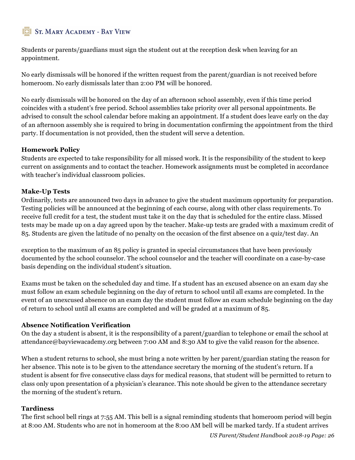Students or parents/guardians must sign the student out at the reception desk when leaving for an appointment.

No early dismissals will be honored if the written request from the parent/guardian is not received before homeroom. No early dismissals later than 2:00 PM will be honored.

No early dismissals will be honored on the day of an afternoon school assembly, even if this time period coincides with a student's free period. School assemblies take priority over all personal appointments. Be advised to consult the school calendar before making an appointment. If a student does leave early on the day of an afternoon assembly she is required to bring in documentation confirming the appointment from the third party. If documentation is not provided, then the student will serve a detention.

#### **Homework Policy**

Students are expected to take responsibility for all missed work. It is the responsibility of the student to keep current on assignments and to contact the teacher. Homework assignments must be completed in accordance with teacher's individual classroom policies.

#### **Make-Up Tests**

Ordinarily, tests are announced two days in advance to give the student maximum opportunity for preparation. Testing policies will be announced at the beginning of each course, along with other class requirements. To receive full credit for a test, the student must take it on the day that is scheduled for the entire class. Missed tests may be made up on a day agreed upon by the teacher. Make-up tests are graded with a maximum credit of 85. Students are given the latitude of no penalty on the occasion of the first absence on a quiz/test day. An

exception to the maximum of an 85 policy is granted in special circumstances that have been previously documented by the school counselor. The school counselor and the teacher will coordinate on a case-by-case basis depending on the individual student's situation.

Exams must be taken on the scheduled day and time. If a student has an excused absence on an exam day she must follow an exam schedule beginning on the day of return to school until all exams are completed. In the event of an unexcused absence on an exam day the student must follow an exam schedule beginning on the day of return to school until all exams are completed and will be graded at a maximum of 85.

#### **Absence Notification Verification**

On the day a student is absent, it is the responsibility of a parent/guardian to telephone or email the school at attendance@bayviewacademy.org between 7:00 AM and 8:30 AM to give the valid reason for the absence.

When a student returns to school, she must bring a note written by her parent/guardian stating the reason for her absence. This note is to be given to the attendance secretary the morning of the student's return. If a student is absent for five consecutive class days for medical reasons, that student will be permitted to return to class only upon presentation of a physician's clearance. This note should be given to the attendance secretary the morning of the student's return.

#### **Tardiness**

The first school bell rings at 7:55 AM. This bell is a signal reminding students that homeroom period will begin at 8:00 AM. Students who are not in homeroom at the 8:00 AM bell will be marked tardy. If a student arrives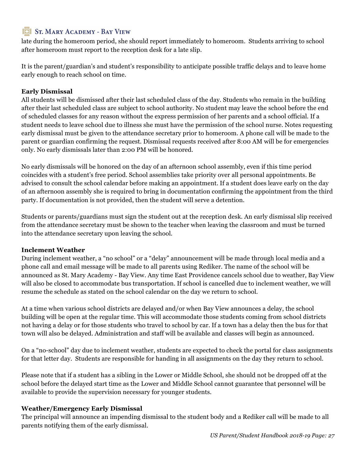late during the homeroom period, she should report immediately to homeroom. Students arriving to school after homeroom must report to the reception desk for a late slip.

It is the parent/guardian's and student's responsibility to anticipate possible traffic delays and to leave home early enough to reach school on time.

#### **Early Dismissal**

All students will be dismissed after their last scheduled class of the day. Students who remain in the building after their last scheduled class are subject to school authority. No student may leave the school before the end of scheduled classes for any reason without the express permission of her parents and a school official. If a student needs to leave school due to illness she must have the permission of the school nurse. Notes requesting early dismissal must be given to the attendance secretary prior to homeroom. A phone call will be made to the parent or guardian confirming the request. Dismissal requests received after 8:00 AM will be for emergencies only. No early dismissals later than 2:00 PM will be honored.

No early dismissals will be honored on the day of an afternoon school assembly, even if this time period coincides with a student's free period. School assemblies take priority over all personal appointments. Be advised to consult the school calendar before making an appointment. If a student does leave early on the day of an afternoon assembly she is required to bring in documentation confirming the appointment from the third party. If documentation is not provided, then the student will serve a detention.

Students or parents/guardians must sign the student out at the reception desk. An early dismissal slip received from the attendance secretary must be shown to the teacher when leaving the classroom and must be turned into the attendance secretary upon leaving the school.

#### **Inclement Weather**

During inclement weather, a "no school" or a "delay" announcement will be made through local media and a phone call and email message will be made to all parents using Rediker. The name of the school will be announced as St. Mary Academy - Bay View. Any time East Providence cancels school due to weather, Bay View will also be closed to accommodate bus transportation. If school is cancelled due to inclement weather, we will resume the schedule as stated on the school calendar on the day we return to school.

At a time when various school districts are delayed and/or when Bay View announces a delay, the school building will be open at the regular time. This will accommodate those students coming from school districts not having a delay or for those students who travel to school by car. If a town has a delay then the bus for that town will also be delayed. Administration and staff will be available and classes will begin as announced.

On a "no-school" day due to inclement weather, students are expected to check the portal for class assignments for that letter day. Students are responsible for handing in all assignments on the day they return to school.

Please note that if a student has a sibling in the Lower or Middle School, she should not be dropped off at the school before the delayed start time as the Lower and Middle School cannot guarantee that personnel will be available to provide the supervision necessary for younger students.

#### **Weather/Emergency Early Dismissal**

The principal will announce an impending dismissal to the student body and a Rediker call will be made to all parents notifying them of the early dismissal.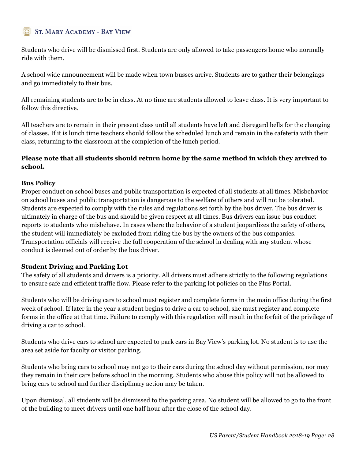Students who drive will be dismissed first. Students are only allowed to take passengers home who normally ride with them.

A school wide announcement will be made when town busses arrive. Students are to gather their belongings and go immediately to their bus.

All remaining students are to be in class. At no time are students allowed to leave class. It is very important to follow this directive.

All teachers are to remain in their present class until all students have left and disregard bells for the changing of classes. If it is lunch time teachers should follow the scheduled lunch and remain in the cafeteria with their class, returning to the classroom at the completion of the lunch period.

#### **Please note that all students should return home by the same method in which they arrived to school.**

#### **Bus Policy**

Proper conduct on school buses and public transportation is expected of all students at all times. Misbehavior on school buses and public transportation is dangerous to the welfare of others and will not be tolerated. Students are expected to comply with the rules and regulations set forth by the bus driver. The bus driver is ultimately in charge of the bus and should be given respect at all times. Bus drivers can issue bus conduct reports to students who misbehave. In cases where the behavior of a student jeopardizes the safety of others, the student will immediately be excluded from riding the bus by the owners of the bus companies. Transportation officials will receive the full cooperation of the school in dealing with any student whose conduct is deemed out of order by the bus driver.

#### **Student Driving and Parking Lot**

The safety of all students and drivers is a priority. All drivers must adhere strictly to the following regulations to ensure safe and efficient traffic flow. Please refer to the parking lot policies on the Plus Portal.

Students who will be driving cars to school must register and complete forms in the main office during the first week of school. If later in the year a student begins to drive a car to school, she must register and complete forms in the office at that time. Failure to comply with this regulation will result in the forfeit of the privilege of driving a car to school.

Students who drive cars to school are expected to park cars in Bay View's parking lot. No student is to use the area set aside for faculty or visitor parking.

Students who bring cars to school may not go to their cars during the school day without permission, nor may they remain in their cars before school in the morning. Students who abuse this policy will not be allowed to bring cars to school and further disciplinary action may be taken.

Upon dismissal, all students will be dismissed to the parking area. No student will be allowed to go to the front of the building to meet drivers until one half hour after the close of the school day.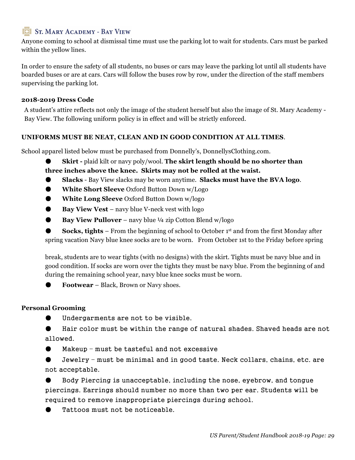Anyone coming to school at dismissal time must use the parking lot to wait for students. Cars must be parked within the yellow lines.

In order to ensure the safety of all students, no buses or cars may leave the parking lot until all students have boarded buses or are at cars. Cars will follow the buses row by row, under the direction of the staff members supervising the parking lot.

#### **2018-2019 Dress Code**

A student's attire reflects not only the image of the student herself but also the image of St. Mary Academy - Bay View. The following uniform policy is in effect and will be strictly enforced.

#### **UNIFORMS MUST BE NEAT, CLEAN AND IN GOOD CONDITION AT ALL TIMES**.

School apparel listed below must be purchased from Donnelly's, DonnellysClothing.com.

**Skirt -** plaid kilt or navy poly/wool. The skirt length should be no shorter than

**three inches above the knee. Skirts may not be rolled at the waist.**

- **Slacks** Bay View slacks may be worn anytime. **Slacks must have the BVA logo**.
- **White Short Sleeve** Oxford Button Down w/Logo
- **White Long Sleeve** Oxford Button Down w/logo
- **Bay View Vest** navy blue V-neck vest with logo
- **Bay View Pullover** navy blue ¼ zip Cotton Blend w/logo

**Socks, tights** – From the beginning of school to October 1<sup>st</sup> and from the first Monday after spring vacation Navy blue knee socks are to be worn. From October 1st to the Friday before spring

break, students are to wear tights (with no designs) with the skirt. Tights must be navy blue and in good condition. If socks are worn over the tights they must be navy blue. From the beginning of and during the remaining school year, navy blue knee socks must be worn.

● **Footwear** – Black, Brown or Navy shoes.

#### **Personal Grooming**

Undergarments are not to be visible.

Hair color must be within the range of natural shades. Shaved heads are not allowed.

● Makeup – must be tasteful and not excessive

Jewelry – must be minimal and in good taste. Neck collars, chains, etc. are not acceptable.

Body Piercing is unacceptable, including the nose, eyebrow, and tongue piercings. Earrings should number no more than two per ear. Students will be required to remove inappropriate piercings during school.

Tattoos must not be noticeable.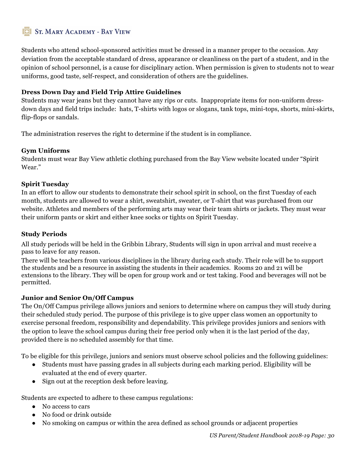Students who attend school-sponsored activities must be dressed in a manner proper to the occasion. Any deviation from the acceptable standard of dress, appearance or cleanliness on the part of a student, and in the opinion of school personnel, is a cause for disciplinary action. When permission is given to students not to wear uniforms, good taste, self-respect, and consideration of others are the guidelines.

#### **Dress Down Day and Field Trip Attire Guidelines**

Students may wear jeans but they cannot have any rips or cuts. Inappropriate items for non-uniform dressdown days and field trips include: hats, T-shirts with logos or slogans, tank tops, mini-tops, shorts, mini-skirts, flip-flops or sandals.

The administration reserves the right to determine if the student is in compliance.

#### **Gym Uniforms**

Students must wear Bay View athletic clothing purchased from the Bay View website located under "Spirit Wear."

#### **Spirit Tuesday**

In an effort to allow our students to demonstrate their school spirit in school, on the first Tuesday of each month, students are allowed to wear a shirt, sweatshirt, sweater, or T-shirt that was purchased from our website. Athletes and members of the performing arts may wear their team shirts or jackets. They must wear their uniform pants or skirt and either knee socks or tights on Spirit Tuesday.

#### **Study Periods**

All study periods will be held in the Gribbin Library, Students will sign in upon arrival and must receive a pass to leave for any reason.

There will be teachers from various disciplines in the library during each study. Their role will be to support the students and be a resource in assisting the students in their academics. Rooms 20 and 21 will be extensions to the library. They will be open for group work and or test taking. Food and beverages will not be permitted.

#### **Junior and Senior On/Off Campus**

The On/Off Campus privilege allows juniors and seniors to determine where on campus they will study during their scheduled study period. The purpose of this privilege is to give upper class women an opportunity to exercise personal freedom, responsibility and dependability. This privilege provides juniors and seniors with the option to leave the school campus during their free period only when it is the last period of the day, provided there is no scheduled assembly for that time.

To be eligible for this privilege, juniors and seniors must observe school policies and the following guidelines:

- Students must have passing grades in all subjects during each marking period. Eligibility will be evaluated at the end of every quarter.
- Sign out at the reception desk before leaving.

Students are expected to adhere to these campus regulations:

- No access to cars
- No food or drink outside
- No smoking on campus or within the area defined as school grounds or adjacent properties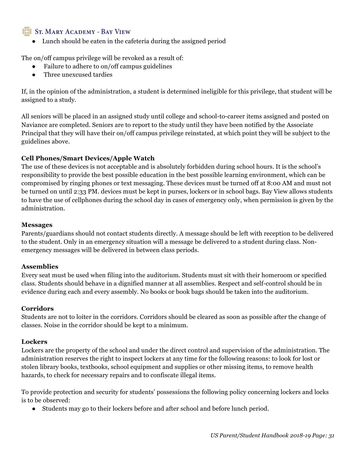● Lunch should be eaten in the cafeteria during the assigned period

The on/off campus privilege will be revoked as a result of:

- Failure to adhere to on/off campus guidelines
- Three unexcused tardies

If, in the opinion of the administration, a student is determined ineligible for this privilege, that student will be assigned to a study.

All seniors will be placed in an assigned study until college and school-to-career items assigned and posted on Naviance are completed. Seniors are to report to the study until they have been notified by the Associate Principal that they will have their on/off campus privilege reinstated, at which point they will be subject to the guidelines above.

#### **Cell Phones/Smart Devices/Apple Watch**

The use of these devices is not acceptable and is absolutely forbidden during school hours. It is the school's responsibility to provide the best possible education in the best possible learning environment, which can be compromised by ringing phones or text messaging. These devices must be turned off at 8:00 AM and must not be turned on until 2:33 PM. devices must be kept in purses, lockers or in school bags. Bay View allows students to have the use of cellphones during the school day in cases of emergency only, when permission is given by the administration.

#### **Messages**

Parents/guardians should not contact students directly. A message should be left with reception to be delivered to the student. Only in an emergency situation will a message be delivered to a student during class. Nonemergency messages will be delivered in between class periods.

#### **Assemblies**

Every seat must be used when filing into the auditorium. Students must sit with their homeroom or specified class. Students should behave in a dignified manner at all assemblies. Respect and self-control should be in evidence during each and every assembly. No books or book bags should be taken into the auditorium.

#### **Corridors**

Students are not to loiter in the corridors. Corridors should be cleared as soon as possible after the change of classes. Noise in the corridor should be kept to a minimum.

#### **Lockers**

Lockers are the property of the school and under the direct control and supervision of the administration. The administration reserves the right to inspect lockers at any time for the following reasons: to look for lost or stolen library books, textbooks, school equipment and supplies or other missing items, to remove health hazards, to check for necessary repairs and to confiscate illegal items.

To provide protection and security for students' possessions the following policy concerning lockers and locks is to be observed:

● Students may go to their lockers before and after school and before lunch period.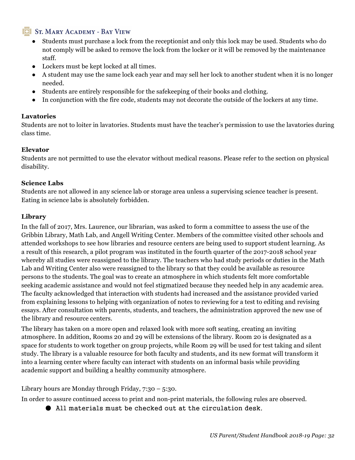- Students must purchase a lock from the receptionist and only this lock may be used. Students who do not comply will be asked to remove the lock from the locker or it will be removed by the maintenance staff.
- Lockers must be kept locked at all times.
- A student may use the same lock each year and may sell her lock to another student when it is no longer needed.
- Students are entirely responsible for the safekeeping of their books and clothing.
- In conjunction with the fire code, students may not decorate the outside of the lockers at any time.

#### **Lavatories**

Students are not to loiter in lavatories. Students must have the teacher's permission to use the lavatories during class time.

#### **Elevator**

Students are not permitted to use the elevator without medical reasons. Please refer to the section on physical disability.

#### **Science Labs**

Students are not allowed in any science lab or storage area unless a supervising science teacher is present. Eating in science labs is absolutely forbidden.

#### **Library**

In the fall of 2017, Mrs. Laurence, our librarian, was asked to form a committee to assess the use of the Gribbin Library, Math Lab, and Angell Writing Center. Members of the committee visited other schools and attended workshops to see how libraries and resource centers are being used to support student learning. As a result of this research, a pilot program was instituted in the fourth quarter of the 2017-2018 school year whereby all studies were reassigned to the library. The teachers who had study periods or duties in the Math Lab and Writing Center also were reassigned to the library so that they could be available as resource persons to the students. The goal was to create an atmosphere in which students felt more comfortable seeking academic assistance and would not feel stigmatized because they needed help in any academic area. The faculty acknowledged that interaction with students had increased and the assistance provided varied from explaining lessons to helping with organization of notes to reviewing for a test to editing and revising essays. After consultation with parents, students, and teachers, the administration approved the new use of the library and resource centers.

The library has taken on a more open and relaxed look with more soft seating, creating an inviting atmosphere. In addition, Rooms 20 and 29 will be extensions of the library. Room 20 is designated as a space for students to work together on group projects, while Room 29 will be used for test taking and silent study. The library is a valuable resource for both faculty and students, and its new format will transform it into a learning center where faculty can interact with students on an informal basis while providing academic support and building a healthy community atmosphere.

Library hours are Monday through Friday, 7:30 – 5:30.

In order to assure continued access to print and non-print materials, the following rules are observed.

● All materials must be checked out at the circulation desk.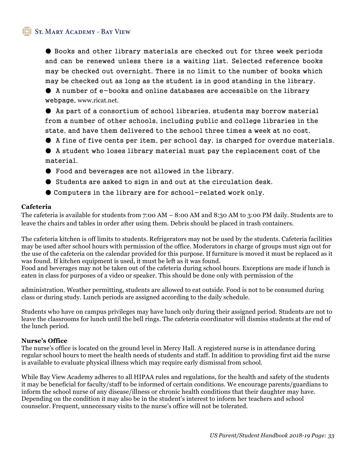● Books and other library materials are checked out for three week periods and can be renewed unless there is a waiting list. Selected reference books may be checked out overnight. There is no limit to the number of books which may be checked out as long as the student is in good standing in the library.

● A number of e-books and online databases are accessible on the library webpage, www.ricat.net.

● As part of a consortium of school libraries, students may borrow material from a number of other schools, including public and college libraries in the state, and have them delivered to the school three times a week at no cost.

● A fine of five cents per item, per school day, is charged for overdue materials.

● A student who loses library material must pay the replacement cost of the material.

- Food and beverages are not allowed in the library.
- Students are asked to sign in and out at the circulation desk.
- Computers in the library are for school-related work only.

#### **Cafeteria**

The cafeteria is available for students from 7:00 AM – 8:00 AM and 8:30 AM to 3:00 PM daily. Students are to leave the chairs and tables in order after using them. Debris should be placed in trash containers.

The cafeteria kitchen is off limits to students. Refrigerators may not be used by the students. Cafeteria facilities may be used after school hours with permission of the office. Moderators in charge of groups must sign out for the use of the cafeteria on the calendar provided for this purpose. If furniture is moved it must be replaced as it was found. If kitchen equipment is used, it must be left as it was found.

Food and beverages may not be taken out of the cafeteria during school hours. Exceptions are made if lunch is eaten in class for purposes of a video or speaker. This should be done only with permission of the

administration. Weather permitting, students are allowed to eat outside. Food is not to be consumed during class or during study. Lunch periods are assigned according to the daily schedule.

Students who have on campus privileges may have lunch only during their assigned period. Students are not to leave the classrooms for lunch until the bell rings. The cafeteria coordinator will dismiss students at the end of the lunch period.

#### **Nurse's Office**

The nurse's office is located on the ground level in Mercy Hall. A registered nurse is in attendance during regular school hours to meet the health needs of students and staff. In addition to providing first aid the nurse is available to evaluate physical illness which may require early dismissal from school.

While Bay View Academy adheres to all HIPAA rules and regulations, for the health and safety of the students it may be beneficial for faculty/staff to be informed of certain conditions. We encourage parents/guardians to inform the school nurse of any disease/illness or chronic health conditions that their daughter may have. Depending on the condition it may also be in the student's interest to inform her teachers and school counselor. Frequent, unnecessary visits to the nurse's office will not be tolerated.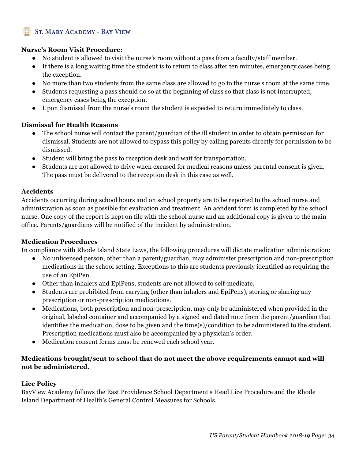#### **Nurse's Room Visit Procedure:**

- No student is allowed to visit the nurse's room without a pass from a faculty/staff member.
- If there is a long waiting time the student is to return to class after ten minutes, emergency cases being the exception.
- No more than two students from the same class are allowed to go to the nurse's room at the same time.
- Students requesting a pass should do so at the beginning of class so that class is not interrupted, emergency cases being the exception.
- Upon dismissal from the nurse's room the student is expected to return immediately to class.

#### **Dismissal for Health Reasons**

- The school nurse will contact the parent/guardian of the ill student in order to obtain permission for dismissal. Students are not allowed to bypass this policy by calling parents directly for permission to be dismissed.
- Student will bring the pass to reception desk and wait for transportation.
- Students are not allowed to drive when excused for medical reasons unless parental consent is given. The pass must be delivered to the reception desk in this case as well.

#### **Accidents**

Accidents occurring during school hours and on school property are to be reported to the school nurse and administration as soon as possible for evaluation and treatment. An accident form is completed by the school nurse. One copy of the report is kept on file with the school nurse and an additional copy is given to the main office. Parents/guardians will be notified of the incident by administration.

#### **Medication Procedures**

In compliance with Rhode Island State Laws, the following procedures will dictate medication administration:

- No unlicensed person, other than a parent/guardian, may administer prescription and non-prescription medications in the school setting. Exceptions to this are students previously identified as requiring the use of an EpiPen.
- Other than inhalers and EpiPens, students are not allowed to self-medicate.
- Students are prohibited from carrying (other than inhalers and EpiPens), storing or sharing any prescription or non-prescription medications.
- Medications, both prescription and non-prescription, may only be administered when provided in the original, labeled container and accompanied by a signed and dated note from the parent/guardian that identifies the medication, dose to be given and the time(s)/condition to be administered to the student. Prescription medications must also be accompanied by a physician's order.
- Medication consent forms must be renewed each school year.

#### **Medications brought/sent to school that do not meet the above requirements cannot and will not be administered.**

#### **Lice Policy**

BayView Academy follows the East Providence School Department's Head Lice Procedure and the Rhode Island Department of Health's General Control Measures for Schools.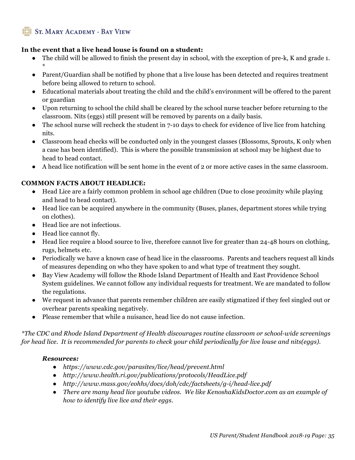#### **In the event that a live head louse is found on a student:**

- The child will be allowed to finish the present day in school, with the exception of pre-k, K and grade 1. \*
- Parent/Guardian shall be notified by phone that a live louse has been detected and requires treatment before being allowed to return to school.
- Educational materials about treating the child and the child's environment will be offered to the parent or guardian
- Upon returning to school the child shall be cleared by the school nurse teacher before returning to the classroom. Nits (eggs) still present will be removed by parents on a daily basis.
- $\bullet$  The school nurse will recheck the student in 7-10 days to check for evidence of live lice from hatching nits.
- Classroom head checks will be conducted only in the youngest classes (Blossoms, Sprouts, K only when a case has been identified). This is where the possible transmission at school may be highest due to head to head contact.
- A head lice notification will be sent home in the event of 2 or more active cases in the same classroom.

#### **COMMON FACTS ABOUT HEADLICE:**

- Head Lice are a fairly common problem in school age children (Due to close proximity while playing and head to head contact).
- Head lice can be acquired anywhere in the community (Buses, planes, department stores while trying on clothes).
- Head lice are not infectious.
- Head lice cannot fly.
- Head lice require a blood source to live, therefore cannot live for greater than 24-48 hours on clothing, rugs, helmets etc.
- Periodically we have a known case of head lice in the classrooms. Parents and teachers request all kinds of measures depending on who they have spoken to and what type of treatment they sought.
- Bay View Academy will follow the Rhode Island Department of Health and East Providence School System guidelines. We cannot follow any individual requests for treatment. We are mandated to follow the regulations.
- We request in advance that parents remember children are easily stigmatized if they feel singled out or overhear parents speaking negatively.
- Please remember that while a nuisance, head lice do not cause infection.

*\*The CDC and Rhode Island Department of Health discourages routine classroom or school-wide screenings for head lice. It is recommended for parents to check your child periodically for live louse and nits(eggs).*

#### *Resources:*

- *https://www.cdc.gov/parasites/lice/head/prevent.html*
- *http://www.health.ri.gov/publications/protocols/HeadLice.pdf*
- *http://www.mass.gov/eohhs/docs/doh/cdc/factsheets/g-i/head-lice.pdf*
- *There are many head lice youtube videos. We like KenoshaKidsDoctor.com as an example of how to identify live lice and their eggs.*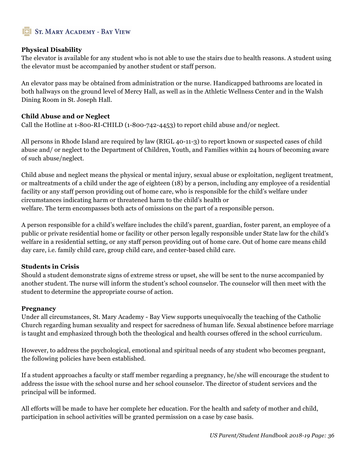#### **Physical Disability**

The elevator is available for any student who is not able to use the stairs due to health reasons. A student using the elevator must be accompanied by another student or staff person.

An elevator pass may be obtained from administration or the nurse. Handicapped bathrooms are located in both hallways on the ground level of Mercy Hall, as well as in the Athletic Wellness Center and in the Walsh Dining Room in St. Joseph Hall.

#### **Child Abuse and or Neglect**

Call the Hotline at 1-800-RI-CHILD (1-800-742-4453) to report child abuse and/or neglect.

All persons in Rhode Island are required by law (RIGL 40-11-3) to report known or suspected cases of child abuse and/ or neglect to the Department of Children, Youth, and Families within 24 hours of becoming aware of such abuse/neglect.

Child abuse and neglect means the physical or mental injury, sexual abuse or exploitation, negligent treatment, or maltreatments of a child under the age of eighteen (18) by a person, including any employee of a residential facility or any staff person providing out of home care, who is responsible for the child's welfare under circumstances indicating harm or threatened harm to the child's health or welfare. The term encompasses both acts of omissions on the part of a responsible person.

A person responsible for a child's welfare includes the child's parent, guardian, foster parent, an employee of a public or private residential home or facility or other person legally responsible under State law for the child's welfare in a residential setting, or any staff person providing out of home care. Out of home care means child day care, i.e. family child care, group child care, and center-based child care.

#### **Students in Crisis**

Should a student demonstrate signs of extreme stress or upset, she will be sent to the nurse accompanied by another student. The nurse will inform the student's school counselor. The counselor will then meet with the student to determine the appropriate course of action.

#### **Pregnancy**

Under all circumstances, St. Mary Academy - Bay View supports unequivocally the teaching of the Catholic Church regarding human sexuality and respect for sacredness of human life. Sexual abstinence before marriage is taught and emphasized through both the theological and health courses offered in the school curriculum.

However, to address the psychological, emotional and spiritual needs of any student who becomes pregnant, the following policies have been established.

If a student approaches a faculty or staff member regarding a pregnancy, he/she will encourage the student to address the issue with the school nurse and her school counselor. The director of student services and the principal will be informed.

All efforts will be made to have her complete her education. For the health and safety of mother and child, participation in school activities will be granted permission on a case by case basis.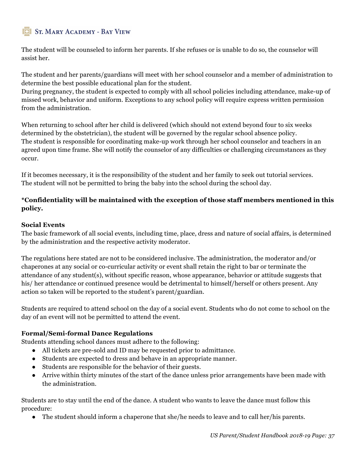The student will be counseled to inform her parents. If she refuses or is unable to do so, the counselor will assist her.

The student and her parents/guardians will meet with her school counselor and a member of administration to determine the best possible educational plan for the student.

During pregnancy, the student is expected to comply with all school policies including attendance, make-up of missed work, behavior and uniform. Exceptions to any school policy will require express written permission from the administration.

When returning to school after her child is delivered (which should not extend beyond four to six weeks determined by the obstetrician), the student will be governed by the regular school absence policy. The student is responsible for coordinating make-up work through her school counselor and teachers in an agreed upon time frame. She will notify the counselor of any difficulties or challenging circumstances as they occur.

If it becomes necessary, it is the responsibility of the student and her family to seek out tutorial services. The student will not be permitted to bring the baby into the school during the school day.

#### **\*Confidentiality will be maintained with the exception of those staff members mentioned in this policy.**

#### **Social Events**

The basic framework of all social events, including time, place, dress and nature of social affairs, is determined by the administration and the respective activity moderator.

The regulations here stated are not to be considered inclusive. The administration, the moderator and/or chaperones at any social or co-curricular activity or event shall retain the right to bar or terminate the attendance of any student(s), without specific reason, whose appearance, behavior or attitude suggests that his/ her attendance or continued presence would be detrimental to himself/herself or others present. Any action so taken will be reported to the student's parent/guardian.

Students are required to attend school on the day of a social event. Students who do not come to school on the day of an event will not be permitted to attend the event.

#### **Formal/Semi-formal Dance Regulations**

Students attending school dances must adhere to the following:

- All tickets are pre-sold and ID may be requested prior to admittance.
- Students are expected to dress and behave in an appropriate manner.
- Students are responsible for the behavior of their guests.
- Arrive within thirty minutes of the start of the dance unless prior arrangements have been made with the administration.

Students are to stay until the end of the dance. A student who wants to leave the dance must follow this procedure:

• The student should inform a chaperone that she/he needs to leave and to call her/his parents.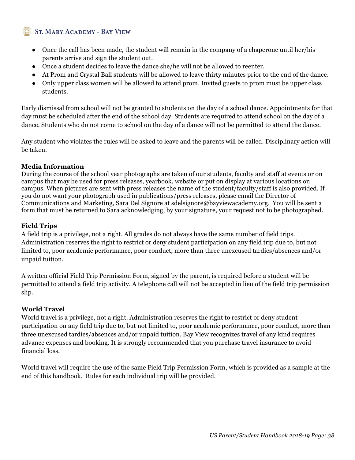- Once the call has been made, the student will remain in the company of a chaperone until her/his parents arrive and sign the student out.
- Once a student decides to leave the dance she/he will not be allowed to reenter.
- At Prom and Crystal Ball students will be allowed to leave thirty minutes prior to the end of the dance.
- Only upper class women will be allowed to attend prom. Invited guests to prom must be upper class students.

Early dismissal from school will not be granted to students on the day of a school dance. Appointments for that day must be scheduled after the end of the school day. Students are required to attend school on the day of a dance. Students who do not come to school on the day of a dance will not be permitted to attend the dance.

Any student who violates the rules will be asked to leave and the parents will be called. Disciplinary action will be taken.

#### **Media Information**

During the course of the school year photographs are taken of our students, faculty and staff at events or on campus that may be used for press releases, yearbook, website or put on display at various locations on campus. When pictures are sent with press releases the name of the student/faculty/staff is also provided. If you do not want your photograph used in publications/press releases, please email the Director of Communications and Marketing, Sara Del Signore at sdelsignore@bayviewacademy.org. You will be sent a form that must be returned to Sara acknowledging, by your signature, your request not to be photographed.

#### **Field Trips**

A field trip is a privilege, not a right. All grades do not always have the same number of field trips. Administration reserves the right to restrict or deny student participation on any field trip due to, but not limited to, poor academic performance, poor conduct, more than three unexcused tardies/absences and/or unpaid tuition.

A written official Field Trip Permission Form, signed by the parent, is required before a student will be permitted to attend a field trip activity. A telephone call will not be accepted in lieu of the field trip permission slip.

#### **World Travel**

World travel is a privilege, not a right. Administration reserves the right to restrict or deny student participation on any field trip due to, but not limited to, poor academic performance, poor conduct, more than three unexcused tardies/absences and/or unpaid tuition. Bay View recognizes travel of any kind requires advance expenses and booking. It is strongly recommended that you purchase travel insurance to avoid financial loss.

World travel will require the use of the same Field Trip Permission Form, which is provided as a sample at the end of this handbook. Rules for each individual trip will be provided.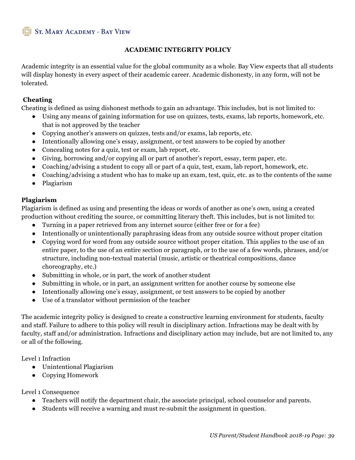#### **ACADEMIC INTEGRITY POLICY**

Academic integrity is an essential value for the global community as a whole. Bay View expects that all students will display honesty in every aspect of their academic career. Academic dishonesty, in any form, will not be tolerated.

#### **Cheating**

Cheating is defined as using dishonest methods to gain an advantage. This includes, but is not limited to:

- Using any means of gaining information for use on quizzes, tests, exams, lab reports, homework, etc. that is not approved by the teacher
- Copying another's answers on quizzes, tests and/or exams, lab reports, etc.
- Intentionally allowing one's essay, assignment, or test answers to be copied by another
- Concealing notes for a quiz, test or exam, lab report, etc.
- Giving, borrowing and/or copying all or part of another's report, essay, term paper, etc.
- Coaching/advising a student to copy all or part of a quiz, test, exam, lab report, homework, etc.
- Coaching/advising a student who has to make up an exam, test, quiz, etc. as to the contents of the same
- Plagiarism

#### **Plagiarism**

Plagiarism is defined as using and presenting the ideas or words of another as one's own, using a created production without crediting the source, or committing literary theft. This includes, but is not limited to:

- Turning in a paper retrieved from any internet source (either free or for a fee)
- Intentionally or unintentionally paraphrasing ideas from any outside source without proper citation
- Copying word for word from any outside source without proper citation. This applies to the use of an entire paper, to the use of an entire section or paragraph, or to the use of a few words, phrases, and/or structure, including non-textual material (music, artistic or theatrical compositions, dance choreography, etc.)
- Submitting in whole, or in part, the work of another student
- Submitting in whole, or in part, an assignment written for another course by someone else
- Intentionally allowing one's essay, assignment, or test answers to be copied by another
- Use of a translator without permission of the teacher

The academic integrity policy is designed to create a constructive learning environment for students, faculty and staff. Failure to adhere to this policy will result in disciplinary action. Infractions may be dealt with by faculty, staff and/or administration. Infractions and disciplinary action may include, but are not limited to, any or all of the following.

Level 1 Infraction

- Unintentional Plagiarism
- Copying Homework

Level 1 Consequence

- Teachers will notify the department chair, the associate principal, school counselor and parents.
- Students will receive a warning and must re-submit the assignment in question.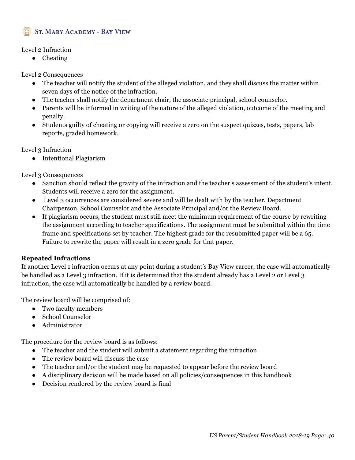

#### Level 2 Infraction

● Cheating

Level 2 Consequences

- The teacher will notify the student of the alleged violation, and they shall discuss the matter within seven days of the notice of the infraction.
- The teacher shall notify the department chair, the associate principal, school counselor.
- Parents will be informed in writing of the nature of the alleged violation, outcome of the meeting and penalty.
- Students guilty of cheating or copying will receive a zero on the suspect quizzes, tests, papers, lab reports, graded homework.

Level 3 Infraction

● Intentional Plagiarism

Level 3 Consequences

- Sanction should reflect the gravity of the infraction and the teacher's assessment of the student's intent. Students will receive a zero for the assignment.
- Level 3 occurrences are considered severe and will be dealt with by the teacher, Department Chairperson, School Counselor and the Associate Principal and/or the Review Board.
- If plagiarism occurs, the student must still meet the minimum requirement of the course by rewriting the assignment according to teacher specifications. The assignment must be submitted within the time frame and specifications set by teacher. The highest grade for the resubmitted paper will be a 65. Failure to rewrite the paper will result in a zero grade for that paper.

#### **Repeated Infractions**

If another Level 1 infraction occurs at any point during a student's Bay View career, the case will automatically be handled as a Level 3 infraction. If it is determined that the student already has a Level 2 or Level 3 infraction, the case will automatically be handled by a review board.

The review board will be comprised of:

- Two faculty members
- School Counselor
- Administrator

The procedure for the review board is as follows:

- The teacher and the student will submit a statement regarding the infraction
- The review board will discuss the case
- The teacher and/or the student may be requested to appear before the review board
- A disciplinary decision will be made based on all policies/consequences in this handbook
- Decision rendered by the review board is final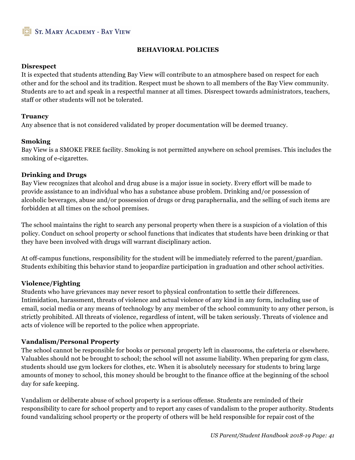

#### **BEHAVIORAL POLICIES**

#### **Disrespect**

It is expected that students attending Bay View will contribute to an atmosphere based on respect for each other and for the school and its tradition. Respect must be shown to all members of the Bay View community. Students are to act and speak in a respectful manner at all times. Disrespect towards administrators, teachers, staff or other students will not be tolerated.

#### **Truancy**

Any absence that is not considered validated by proper documentation will be deemed truancy.

#### **Smoking**

Bay View is a SMOKE FREE facility. Smoking is not permitted anywhere on school premises. This includes the smoking of e-cigarettes.

#### **Drinking and Drugs**

Bay View recognizes that alcohol and drug abuse is a major issue in society. Every effort will be made to provide assistance to an individual who has a substance abuse problem. Drinking and/or possession of alcoholic beverages, abuse and/or possession of drugs or drug paraphernalia, and the selling of such items are forbidden at all times on the school premises.

The school maintains the right to search any personal property when there is a suspicion of a violation of this policy. Conduct on school property or school functions that indicates that students have been drinking or that they have been involved with drugs will warrant disciplinary action.

At off-campus functions, responsibility for the student will be immediately referred to the parent/guardian. Students exhibiting this behavior stand to jeopardize participation in graduation and other school activities.

#### **Violence/Fighting**

Students who have grievances may never resort to physical confrontation to settle their differences. Intimidation, harassment, threats of violence and actual violence of any kind in any form, including use of email, social media or any means of technology by any member of the school community to any other person, is strictly prohibited. All threats of violence, regardless of intent, will be taken seriously. Threats of violence and acts of violence will be reported to the police when appropriate.

#### **Vandalism/Personal Property**

The school cannot be responsible for books or personal property left in classrooms, the cafeteria or elsewhere. Valuables should not be brought to school; the school will not assume liability. When preparing for gym class, students should use gym lockers for clothes, etc. When it is absolutely necessary for students to bring large amounts of money to school, this money should be brought to the finance office at the beginning of the school day for safe keeping.

Vandalism or deliberate abuse of school property is a serious offense. Students are reminded of their responsibility to care for school property and to report any cases of vandalism to the proper authority. Students found vandalizing school property or the property of others will be held responsible for repair cost of the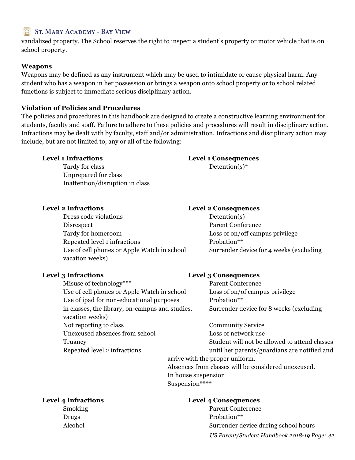vandalized property. The School reserves the right to inspect a student's property or motor vehicle that is on school property.

#### **Weapons**

Weapons may be defined as any instrument which may be used to intimidate or cause physical harm. Any student who has a weapon in her possession or brings a weapon onto school property or to school related functions is subject to immediate serious disciplinary action.

#### **Violation of Policies and Procedures**

The policies and procedures in this handbook are designed to create a constructive learning environment for students, faculty and staff. Failure to adhere to these policies and procedures will result in disciplinary action. Infractions may be dealt with by faculty, staff and/or administration. Infractions and disciplinary action may include, but are not limited to, any or all of the following:

Tardy for class Detention(s)\* Unprepared for class Inattention/disruption in class

## **Level 1 Infractions Level 1 Consequences**

#### **Level 2 Infractions Level 2 Consequences**

Dress code violations Detention(s) Disrespect Parent Conference Tardy for homeroom Loss of on/off campus privilege Repeated level 1 infractions Probation<sup>\*\*</sup> Use of cell phones or Apple Watch in school Surrender device for 4 weeks (excluding vacation weeks)

#### **Level 3 Infractions Level 3 Consequences**

Misuse of technology<sup>\*\*\*</sup> Parent Conference Use of cell phones or Apple Watch in school Loss of on/of campus privilege

Use of ipad for non-educational purposes Probation\*\* in classes, the library, on-campus and studies. Surrender device for 8 weeks (excluding vacation weeks) Not reporting to class Community Service Unexcused absences from school Loss of network use

Truancy Student will not be allowed to attend classes Repeated level 2 infractions until her parents/guardians are notified and arrive with the proper uniform. Absences from classes will be considered unexcused. In house suspension Suspension\*\*\*\*

#### **Level 4 Infractions Level 4 Consequences**

*US Parent/Student Handbook 2018-19 Page: 42* Smoking Parent Conference Drugs Probation\*\* Alcohol Surrender device during school hours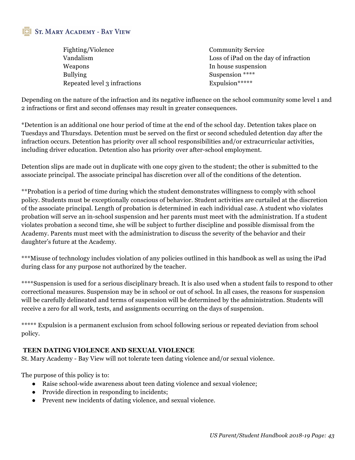| Fighting/Violence            | <b>Community Service</b>              |
|------------------------------|---------------------------------------|
| Vandalism                    | Loss of iPad on the day of infraction |
| Weapons                      | In house suspension                   |
| <b>Bullying</b>              | Suspension ****                       |
| Repeated level 3 infractions | Expulsion*****                        |

Depending on the nature of the infraction and its negative influence on the school community some level 1 and 2 infractions or first and second offenses may result in greater consequences.

\*Detention is an additional one hour period of time at the end of the school day. Detention takes place on Tuesdays and Thursdays. Detention must be served on the first or second scheduled detention day after the infraction occurs. Detention has priority over all school responsibilities and/or extracurricular activities, including driver education. Detention also has priority over after-school employment.

Detention slips are made out in duplicate with one copy given to the student; the other is submitted to the associate principal. The associate principal has discretion over all of the conditions of the detention.

\*\*Probation is a period of time during which the student demonstrates willingness to comply with school policy. Students must be exceptionally conscious of behavior. Student activities are curtailed at the discretion of the associate principal. Length of probation is determined in each individual case. A student who violates probation will serve an in-school suspension and her parents must meet with the administration. If a student violates probation a second time, she will be subject to further discipline and possible dismissal from the Academy. Parents must meet with the administration to discuss the severity of the behavior and their daughter's future at the Academy.

\*\*\*Misuse of technology includes violation of any policies outlined in this handbook as well as using the iPad during class for any purpose not authorized by the teacher.

\*\*\*\*Suspension is used for a serious disciplinary breach. It is also used when a student fails to respond to other correctional measures. Suspension may be in school or out of school. In all cases, the reasons for suspension will be carefully delineated and terms of suspension will be determined by the administration. Students will receive a zero for all work, tests, and assignments occurring on the days of suspension.

\*\*\*\*\* Expulsion is a permanent exclusion from school following serious or repeated deviation from school policy.

#### **TEEN DATING VIOLENCE AND SEXUAL VIOLENCE**

St. Mary Academy - Bay View will not tolerate teen dating violence and/or sexual violence.

The purpose of this policy is to:

- Raise school-wide awareness about teen dating violence and sexual violence;
- Provide direction in responding to incidents;
- Prevent new incidents of dating violence, and sexual violence.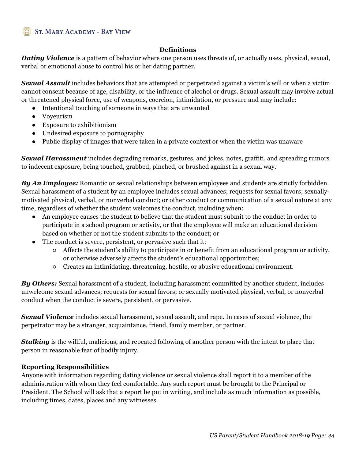#### **Definitions**

*Dating Violence* is a pattern of behavior where one person uses threats of, or actually uses, physical, sexual, verbal or emotional abuse to control his or her dating partner.

*Sexual Assault* includes behaviors that are attempted or perpetrated against a victim's will or when a victim cannot consent because of age, disability, or the influence of alcohol or drugs. Sexual assault may involve actual or threatened physical force, use of weapons, coercion, intimidation, or pressure and may include:

- Intentional touching of someone in ways that are unwanted
- Voyeurism
- Exposure to exhibitionism
- Undesired exposure to pornography
- Public display of images that were taken in a private context or when the victim was unaware

*Sexual Harassment* includes degrading remarks, gestures, and jokes, notes, graffiti, and spreading rumors to indecent exposure, being touched, grabbed, pinched, or brushed against in a sexual way.

*By An Employee:* Romantic or sexual relationships between employees and students are strictly forbidden. Sexual harassment of a student by an employee includes sexual advances; requests for sexual favors; sexuallymotivated physical, verbal, or nonverbal conduct; or other conduct or communication of a sexual nature at any time, regardless of whether the student welcomes the conduct, including when:

- An employee causes the student to believe that the student must submit to the conduct in order to participate in a school program or activity, or that the employee will make an educational decision based on whether or not the student submits to the conduct; or
- The conduct is severe, persistent, or pervasive such that it:
	- Affects the student's ability to participate in or benefit from an educational program or activity, or otherwise adversely affects the student's educational opportunities;
	- Creates an intimidating, threatening, hostile, or abusive educational environment.

*By Others:* Sexual harassment of a student, including harassment committed by another student, includes unwelcome sexual advances; requests for sexual favors; or sexually motivated physical, verbal, or nonverbal conduct when the conduct is severe, persistent, or pervasive.

*Sexual Violence* includes sexual harassment, sexual assault, and rape. In cases of sexual violence, the perpetrator may be a stranger, acquaintance, friend, family member, or partner.

*Stalking* is the willful, malicious, and repeated following of another person with the intent to place that person in reasonable fear of bodily injury.

#### **Reporting Responsibilities**

Anyone with information regarding dating violence or sexual violence shall report it to a member of the administration with whom they feel comfortable. Any such report must be brought to the Principal or President. The School will ask that a report be put in writing, and include as much information as possible, including times, dates, places and any witnesses.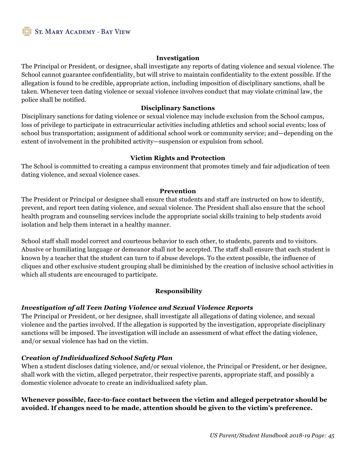#### **Investigation**

The Principal or President, or designee, shall investigate any reports of dating violence and sexual violence. The School cannot guarantee confidentiality, but will strive to maintain confidentiality to the extent possible. If the allegation is found to be credible, appropriate action, including imposition of disciplinary sanctions, shall be taken. Whenever teen dating violence or sexual violence involves conduct that may violate criminal law, the police shall be notified.

#### **Disciplinary Sanctions**

Disciplinary sanctions for dating violence or sexual violence may include exclusion from the School campus, loss of privilege to participate in extracurricular activities including athletics and school social events; loss of school bus transportation; assignment of additional school work or community service; and—depending on the extent of involvement in the prohibited activity—suspension or expulsion from school.

#### **Victim Rights and Protection**

The School is committed to creating a campus environment that promotes timely and fair adjudication of teen dating violence, and sexual violence cases.

#### **Prevention**

The President or Principal or designee shall ensure that students and staff are instructed on how to identify, prevent, and report teen dating violence, and sexual violence. The President shall also ensure that the school health program and counseling services include the appropriate social skills training to help students avoid isolation and help them interact in a healthy manner.

School staff shall model correct and courteous behavior to each other, to students, parents and to visitors. Abusive or humiliating language or demeanor shall not be accepted. The staff shall ensure that each student is known by a teacher that the student can turn to if abuse develops. To the extent possible, the influence of cliques and other exclusive student grouping shall be diminished by the creation of inclusive school activities in which all students are encouraged to participate.

#### **Responsibility**

#### *Investigation of all Teen Dating Violence and Sexual Violence Reports*

The Principal or President, or her designee, shall investigate all allegations of dating violence, and sexual violence and the parties involved. If the allegation is supported by the investigation, appropriate disciplinary sanctions will be imposed. The investigation will include an assessment of what effect the dating violence, and/or sexual violence has had on the victim.

#### *Creation of Individualized School Safety Plan*

When a student discloses dating violence, and/or sexual violence, the Principal or President, or her designee, shall work with the victim, alleged perpetrator, their respective parents, appropriate staff, and possibly a domestic violence advocate to create an individualized safety plan.

#### **Whenever possible, face-to-face contact between the victim and alleged perpetrator should be avoided. If changes need to be made, attention should be given to the victim's preference.**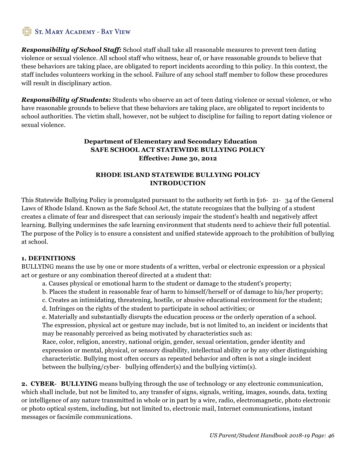*Responsibility of School Staff:* School staff shall take all reasonable measures to prevent teen dating violence or sexual violence. All school staff who witness, hear of, or have reasonable grounds to believe that these behaviors are taking place, are obligated to report incidents according to this policy. In this context, the staff includes volunteers working in the school. Failure of any school staff member to follow these procedures will result in disciplinary action.

*Responsibility of Students:* Students who observe an act of teen dating violence or sexual violence, or who have reasonable grounds to believe that these behaviors are taking place, are obligated to report incidents to school authorities. The victim shall, however, not be subject to discipline for failing to report dating violence or sexual violence.

#### **Department of Elementary and Secondary Education SAFE SCHOOL ACT STATEWIDE BULLYING POLICY Effective: June 30, 2012**

#### **RHODE ISLAND STATEWIDE BULLYING POLICY INTRODUCTION**

This Statewide Bullying Policy is promulgated pursuant to the authority set forth in §16- 21- 34 of the General Laws of Rhode Island. Known as the Safe School Act, the statute recognizes that the bullying of a student creates a climate of fear and disrespect that can seriously impair the student's health and negatively affect learning. Bullying undermines the safe learning environment that students need to achieve their full potential. The purpose of the Policy is to ensure a consistent and unified statewide approach to the prohibition of bullying at school.

#### **1. DEFINITIONS**

BULLYING means the use by one or more students of a written, verbal or electronic expression or a physical act or gesture or any combination thereof directed at a student that:

- a. Causes physical or emotional harm to the student or damage to the student's property;
- b. Places the student in reasonable fear of harm to himself/herself or of damage to his/her property;
- c. Creates an intimidating, threatening, hostile, or abusive educational environment for the student;
- d. Infringes on the rights of the student to participate in school activities; or

e. Materially and substantially disrupts the education process or the orderly operation of a school. The expression, physical act or gesture may include, but is not limited to, an incident or incidents that may be reasonably perceived as being motivated by characteristics such as:

Race, color, religion, ancestry, national origin, gender, sexual orientation, gender identity and expression or mental, physical, or sensory disability, intellectual ability or by any other distinguishing characteristic. Bullying most often occurs as repeated behavior and often is not a single incident between the bullying/cyber- bullying offender(s) and the bullying victim(s).

**2. CYBER**- **BULLYING** means bullying through the use of technology or any electronic communication, which shall include, but not be limited to, any transfer of signs, signals, writing, images, sounds, data, texting or intelligence of any nature transmitted in whole or in part by a wire, radio, electromagnetic, photo electronic or photo optical system, including, but not limited to, electronic mail, Internet communications, instant messages or facsimile communications.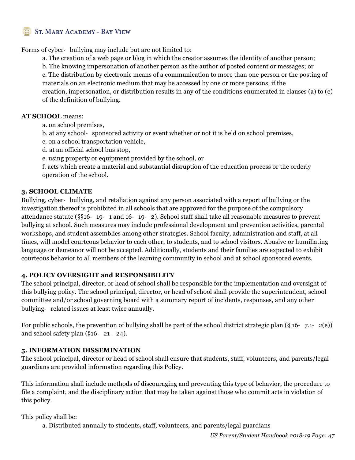Forms of cyber- bullying may include but are not limited to:

a. The creation of a web page or blog in which the creator assumes the identity of another person;

b. The knowing impersonation of another person as the author of posted content or messages; or

c. The distribution by electronic means of a communication to more than one person or the posting of materials on an electronic medium that may be accessed by one or more persons, if the creation, impersonation, or distribution results in any of the conditions enumerated in clauses (a) to (e) of the definition of bullying.

#### **AT SCHOOL** means:

- a. on school premises,
- b. at any school- sponsored activity or event whether or not it is held on school premises,
- c. on a school transportation vehicle,
- d. at an official school bus stop,
- e. using property or equipment provided by the school, or

f. acts which create a material and substantial disruption of the education process or the orderly operation of the school.

#### **3. SCHOOL CLIMATE**

Bullying, cyber- bullying, and retaliation against any person associated with a report of bullying or the investigation thereof is prohibited in all schools that are approved for the purpose of the compulsory attendance statute (§§16- 19- 1 and 16- 19- 2). School staff shall take all reasonable measures to prevent bullying at school. Such measures may include professional development and prevention activities, parental workshops, and student assemblies among other strategies. School faculty, administration and staff, at all times, will model courteous behavior to each other, to students, and to school visitors. Abusive or humiliating language or demeanor will not be accepted. Additionally, students and their families are expected to exhibit courteous behavior to all members of the learning community in school and at school sponsored events.

#### **4. POLICY OVERSIGHT and RESPONSIBILITY**

The school principal, director, or head of school shall be responsible for the implementation and oversight of this bullying policy. The school principal, director, or head of school shall provide the superintendent, school committee and/or school governing board with a summary report of incidents, responses, and any other bullying- related issues at least twice annually.

For public schools, the prevention of bullying shall be part of the school district strategic plan (§ 16- 7.1- 2(e)) and school safety plan (§16- 21- 24).

#### **5. INFORMATION DISSEMINATION**

The school principal, director or head of school shall ensure that students, staff, volunteers, and parents/legal guardians are provided information regarding this Policy.

This information shall include methods of discouraging and preventing this type of behavior, the procedure to file a complaint, and the disciplinary action that may be taken against those who commit acts in violation of this policy.

This policy shall be:

a. Distributed annually to students, staff, volunteers, and parents/legal guardians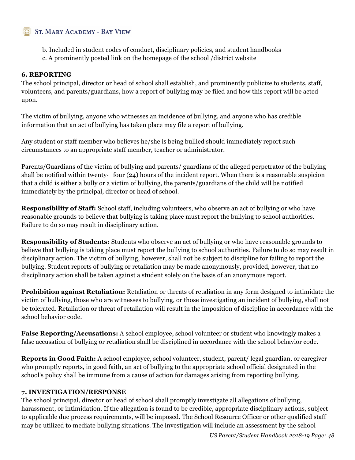- b. Included in student codes of conduct, disciplinary policies, and student handbooks
- c. A prominently posted link on the homepage of the school /district website

#### **6. REPORTING**

The school principal, director or head of school shall establish, and prominently publicize to students, staff, volunteers, and parents/guardians, how a report of bullying may be filed and how this report will be acted upon.

The victim of bullying, anyone who witnesses an incidence of bullying, and anyone who has credible information that an act of bullying has taken place may file a report of bullying.

Any student or staff member who believes he/she is being bullied should immediately report such circumstances to an appropriate staff member, teacher or administrator.

Parents/Guardians of the victim of bullying and parents/ guardians of the alleged perpetrator of the bullying shall be notified within twenty- four (24) hours of the incident report. When there is a reasonable suspicion that a child is either a bully or a victim of bullying, the parents/guardians of the child will be notified immediately by the principal, director or head of school.

**Responsibility of Staff:** School staff, including volunteers, who observe an act of bullying or who have reasonable grounds to believe that bullying is taking place must report the bullying to school authorities. Failure to do so may result in disciplinary action.

**Responsibility of Students:** Students who observe an act of bullying or who have reasonable grounds to believe that bullying is taking place must report the bullying to school authorities. Failure to do so may result in disciplinary action. The victim of bullying, however, shall not be subject to discipline for failing to report the bullying. Student reports of bullying or retaliation may be made anonymously, provided, however, that no disciplinary action shall be taken against a student solely on the basis of an anonymous report.

**Prohibition against Retaliation:** Retaliation or threats of retaliation in any form designed to intimidate the victim of bullying, those who are witnesses to bullying, or those investigating an incident of bullying, shall not be tolerated. Retaliation or threat of retaliation will result in the imposition of discipline in accordance with the school behavior code.

**False Reporting/Accusations:** A school employee, school volunteer or student who knowingly makes a false accusation of bullying or retaliation shall be disciplined in accordance with the school behavior code.

**Reports in Good Faith:** A school employee, school volunteer, student, parent/ legal guardian, or caregiver who promptly reports, in good faith, an act of bullying to the appropriate school official designated in the school's policy shall be immune from a cause of action for damages arising from reporting bullying.

#### **7. INVESTIGATION/RESPONSE**

The school principal, director or head of school shall promptly investigate all allegations of bullying, harassment, or intimidation. If the allegation is found to be credible, appropriate disciplinary actions, subject to applicable due process requirements, will be imposed. The School Resource Officer or other qualified staff may be utilized to mediate bullying situations. The investigation will include an assessment by the school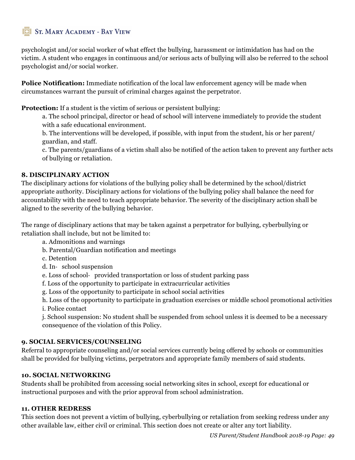psychologist and/or social worker of what effect the bullying, harassment or intimidation has had on the victim. A student who engages in continuous and/or serious acts of bullying will also be referred to the school psychologist and/or social worker.

**Police Notification:** Immediate notification of the local law enforcement agency will be made when circumstances warrant the pursuit of criminal charges against the perpetrator.

**Protection:** If a student is the victim of serious or persistent bullying:

a. The school principal, director or head of school will intervene immediately to provide the student with a safe educational environment.

b. The interventions will be developed, if possible, with input from the student, his or her parent/ guardian, and staff.

c. The parents/guardians of a victim shall also be notified of the action taken to prevent any further acts of bullying or retaliation.

#### **8. DISCIPLINARY ACTION**

The disciplinary actions for violations of the bullying policy shall be determined by the school/district appropriate authority. Disciplinary actions for violations of the bullying policy shall balance the need for accountability with the need to teach appropriate behavior. The severity of the disciplinary action shall be aligned to the severity of the bullying behavior.

The range of disciplinary actions that may be taken against a perpetrator for bullying, cyberbullying or retaliation shall include, but not be limited to:

- a. Admonitions and warnings
- b. Parental/Guardian notification and meetings
- c. Detention
- d. In- school suspension
- e. Loss of school- provided transportation or loss of student parking pass
- f. Loss of the opportunity to participate in extracurricular activities
- g. Loss of the opportunity to participate in school social activities
- h. Loss of the opportunity to participate in graduation exercises or middle school promotional activities
- i. Police contact

j. School suspension: No student shall be suspended from school unless it is deemed to be a necessary consequence of the violation of this Policy.

#### **9. SOCIAL SERVICES/COUNSELING**

Referral to appropriate counseling and/or social services currently being offered by schools or communities shall be provided for bullying victims, perpetrators and appropriate family members of said students.

#### **10. SOCIAL NETWORKING**

Students shall be prohibited from accessing social networking sites in school, except for educational or instructional purposes and with the prior approval from school administration.

#### **11. OTHER REDRESS**

This section does not prevent a victim of bullying, cyberbullying or retaliation from seeking redress under any other available law, either civil or criminal. This section does not create or alter any tort liability.